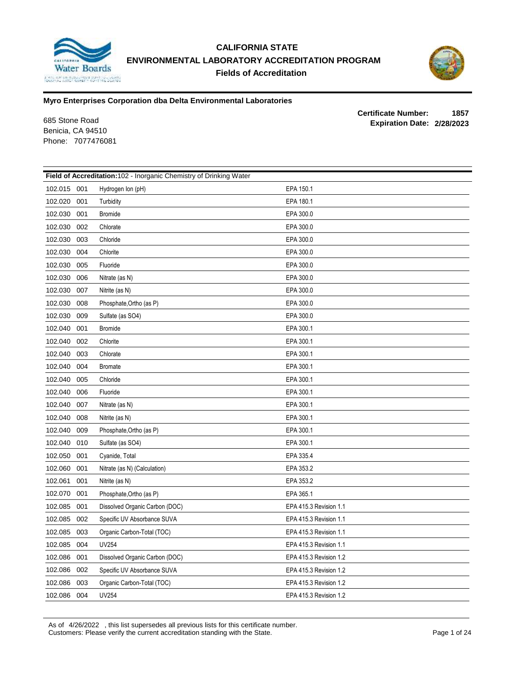

# **CALIFORNIA STATE ENVIRONMENTAL LABORATORY ACCREDITATION PROGRAM Fields of Accreditation**



### **Myro Enterprises Corporation dba Delta Environmental Laboratories**

Benicia, CA 94510 Phone: 7077476081

**Certificate Number: 1857 Expiration Date: 2/28/2023** 685 Stone Road

| Field of Accreditation: 102 - Inorganic Chemistry of Drinking Water |                                |                        |  |
|---------------------------------------------------------------------|--------------------------------|------------------------|--|
| 102.015 001                                                         | Hydrogen Ion (pH)              | EPA 150.1              |  |
| 102.020<br>001                                                      | Turbidity                      | EPA 180.1              |  |
| 102.030<br>001                                                      | <b>Bromide</b>                 | EPA 300.0              |  |
| 102.030<br>002                                                      | Chlorate                       | EPA 300.0              |  |
| 102.030<br>003                                                      | Chloride                       | EPA 300.0              |  |
| 102.030<br>004                                                      | Chlorite                       | EPA 300.0              |  |
| 102.030<br>005                                                      | Fluoride                       | EPA 300.0              |  |
| 102.030<br>006                                                      | Nitrate (as N)                 | EPA 300.0              |  |
| 102.030<br>007                                                      | Nitrite (as N)                 | EPA 300.0              |  |
| 102.030<br>008                                                      | Phosphate, Ortho (as P)        | EPA 300.0              |  |
| 102.030<br>009                                                      | Sulfate (as SO4)               | EPA 300.0              |  |
| 102.040<br>001                                                      | <b>Bromide</b>                 | EPA 300.1              |  |
| 102.040<br>002                                                      | Chlorite                       | EPA 300.1              |  |
| 102.040<br>003                                                      | Chlorate                       | EPA 300.1              |  |
| 102.040<br>004                                                      | <b>Bromate</b>                 | EPA 300.1              |  |
| 102.040<br>005                                                      | Chloride                       | EPA 300.1              |  |
| 102.040<br>006                                                      | Fluoride                       | EPA 300.1              |  |
| 102.040<br>007                                                      | Nitrate (as N)                 | EPA 300.1              |  |
| 102.040<br>008                                                      | Nitrite (as N)                 | EPA 300.1              |  |
| 102.040<br>009                                                      | Phosphate, Ortho (as P)        | EPA 300.1              |  |
| 102.040<br>010                                                      | Sulfate (as SO4)               | EPA 300.1              |  |
| 102.050<br>001                                                      | Cyanide, Total                 | EPA 335.4              |  |
| 102.060<br>001                                                      | Nitrate (as N) (Calculation)   | EPA 353.2              |  |
| 102.061<br>001                                                      | Nitrite (as N)                 | EPA 353.2              |  |
| 102.070<br>001                                                      | Phosphate, Ortho (as P)        | EPA 365.1              |  |
| 102.085<br>001                                                      | Dissolved Organic Carbon (DOC) | EPA 415.3 Revision 1.1 |  |
| 102.085<br>002                                                      | Specific UV Absorbance SUVA    | EPA 415.3 Revision 1.1 |  |
| 102.085<br>003                                                      | Organic Carbon-Total (TOC)     | EPA 415.3 Revision 1.1 |  |
| 102.085<br>004                                                      | <b>UV254</b>                   | EPA 415.3 Revision 1.1 |  |
| 102.086<br>001                                                      | Dissolved Organic Carbon (DOC) | EPA 415.3 Revision 1.2 |  |
| 102.086<br>002                                                      | Specific UV Absorbance SUVA    | EPA 415.3 Revision 1.2 |  |
| 102.086<br>003                                                      | Organic Carbon-Total (TOC)     | EPA 415.3 Revision 1.2 |  |
| 102.086<br>004                                                      | <b>UV254</b>                   | EPA 415.3 Revision 1.2 |  |

As of 4/26/2022 , this list supersedes all previous lists for this certificate number. Customers: Please verify the current accreditation standing with the State. Page 1 of 24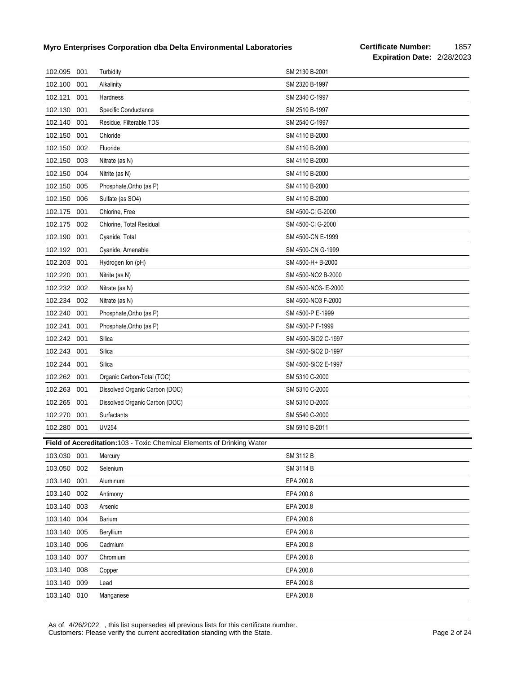| 102.095 | 001 | Turbidity                                                               | SM 2130 B-2001      |
|---------|-----|-------------------------------------------------------------------------|---------------------|
| 102.100 | 001 | Alkalinity                                                              | SM 2320 B-1997      |
| 102.121 | 001 | Hardness                                                                | SM 2340 C-1997      |
| 102.130 | 001 | Specific Conductance                                                    | SM 2510 B-1997      |
| 102.140 | 001 | Residue, Filterable TDS                                                 | SM 2540 C-1997      |
| 102.150 | 001 | Chloride                                                                | SM 4110 B-2000      |
| 102.150 | 002 | Fluoride                                                                | SM 4110 B-2000      |
| 102.150 | 003 | Nitrate (as N)                                                          | SM 4110 B-2000      |
| 102.150 | 004 | Nitrite (as N)                                                          | SM 4110 B-2000      |
| 102.150 | 005 | Phosphate, Ortho (as P)                                                 | SM 4110 B-2000      |
| 102.150 | 006 | Sulfate (as SO4)                                                        | SM 4110 B-2000      |
| 102.175 | 001 | Chlorine, Free                                                          | SM 4500-CI G-2000   |
| 102.175 | 002 | Chlorine, Total Residual                                                | SM 4500-CI G-2000   |
| 102.190 | 001 | Cyanide, Total                                                          | SM 4500-CN E-1999   |
| 102.192 | 001 | Cyanide, Amenable                                                       | SM 4500-CN G-1999   |
| 102.203 | 001 | Hydrogen Ion (pH)                                                       | SM 4500-H+ B-2000   |
| 102.220 | 001 | Nitrite (as N)                                                          | SM 4500-NO2 B-2000  |
| 102.232 | 002 | Nitrate (as N)                                                          | SM 4500-NO3- E-2000 |
| 102.234 | 002 | Nitrate (as N)                                                          | SM 4500-NO3 F-2000  |
| 102.240 | 001 | Phosphate, Ortho (as P)                                                 | SM 4500-P E-1999    |
| 102.241 | 001 | Phosphate, Ortho (as P)                                                 | SM 4500-P F-1999    |
| 102.242 | 001 | Silica                                                                  | SM 4500-SiO2 C-1997 |
| 102.243 | 001 | Silica                                                                  | SM 4500-SiO2 D-1997 |
| 102.244 | 001 | Silica                                                                  | SM 4500-SiO2 E-1997 |
| 102.262 | 001 | Organic Carbon-Total (TOC)                                              | SM 5310 C-2000      |
| 102.263 | 001 | Dissolved Organic Carbon (DOC)                                          | SM 5310 C-2000      |
| 102.265 | 001 | Dissolved Organic Carbon (DOC)                                          | SM 5310 D-2000      |
| 102.270 | 001 | Surfactants                                                             | SM 5540 C-2000      |
| 102.280 | 001 | <b>UV254</b>                                                            | SM 5910 B-2011      |
|         |     | Field of Accreditation: 103 - Toxic Chemical Elements of Drinking Water |                     |
| 103.030 | 001 | Mercury                                                                 | SM 3112 B           |
| 103.050 | 002 | Selenium                                                                | SM 3114 B           |
| 103.140 | 001 | Aluminum                                                                | EPA 200.8           |
| 103.140 | 002 | Antimony                                                                | EPA 200.8           |
| 103.140 | 003 | Arsenic                                                                 | EPA 200.8           |
| 103.140 | 004 | Barium                                                                  | EPA 200.8           |
| 103.140 | 005 | Beryllium                                                               | EPA 200.8           |
| 103.140 | 006 | Cadmium                                                                 | EPA 200.8           |
| 103.140 | 007 | Chromium                                                                | EPA 200.8           |
| 103.140 | 008 | Copper                                                                  | EPA 200.8           |
| 103.140 | 009 | Lead                                                                    | EPA 200.8           |
| 103.140 | 010 | Manganese                                                               | EPA 200.8           |

As of 4/26/2022 , this list supersedes all previous lists for this certificate number. Customers: Please verify the current accreditation standing with the State. Page 2 of 24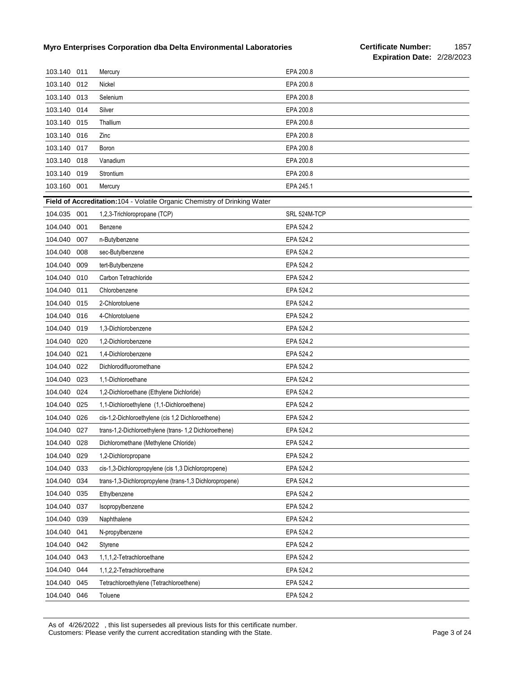| 103.140 011 |     | Mercury                                                                    | EPA 200.8    |
|-------------|-----|----------------------------------------------------------------------------|--------------|
| 103.140     | 012 | Nickel                                                                     | EPA 200.8    |
| 103.140     | 013 | Selenium                                                                   | EPA 200.8    |
| 103.140     | 014 | Silver                                                                     | EPA 200.8    |
| 103.140     | 015 | Thallium                                                                   | EPA 200.8    |
| 103.140     | 016 | Zinc                                                                       | EPA 200.8    |
| 103.140     | 017 | Boron                                                                      | EPA 200.8    |
| 103.140     | 018 | Vanadium                                                                   | EPA 200.8    |
| 103.140     | 019 | Strontium                                                                  | EPA 200.8    |
| 103.160     | 001 | Mercury                                                                    | EPA 245.1    |
|             |     | Field of Accreditation: 104 - Volatile Organic Chemistry of Drinking Water |              |
| 104.035 001 |     | 1,2,3-Trichloropropane (TCP)                                               | SRL 524M-TCP |
| 104.040     | 001 | Benzene                                                                    | EPA 524.2    |
| 104.040     | 007 | n-Butylbenzene                                                             | EPA 524.2    |
| 104.040     | 008 | sec-Butylbenzene                                                           | EPA 524.2    |
| 104.040     | 009 | tert-Butylbenzene                                                          | EPA 524.2    |
| 104.040     | 010 | Carbon Tetrachloride                                                       | EPA 524.2    |
| 104.040     | 011 | Chlorobenzene                                                              | EPA 524.2    |
| 104.040     | 015 | 2-Chlorotoluene                                                            | EPA 524.2    |
| 104.040     | 016 | 4-Chlorotoluene                                                            | EPA 524.2    |
| 104.040     | 019 | 1,3-Dichlorobenzene                                                        | EPA 524.2    |
| 104.040     | 020 | 1,2-Dichlorobenzene                                                        | EPA 524.2    |
| 104.040     | 021 | 1,4-Dichlorobenzene                                                        | EPA 524.2    |
| 104.040     | 022 | Dichlorodifluoromethane                                                    | EPA 524.2    |
| 104.040     | 023 | 1,1-Dichloroethane                                                         | EPA 524.2    |
| 104.040     | 024 | 1,2-Dichloroethane (Ethylene Dichloride)                                   | EPA 524.2    |
| 104.040     | 025 | 1,1-Dichloroethylene (1,1-Dichloroethene)                                  | EPA 524.2    |
| 104.040     | 026 | cis-1,2-Dichloroethylene (cis 1,2 Dichloroethene)                          | EPA 524.2    |
| 104.040     | 027 | trans-1,2-Dichloroethylene (trans- 1,2 Dichloroethene)                     | EPA 524.2    |
| 104.040     | 028 | Dichloromethane (Methylene Chloride)                                       | EPA 524.2    |
| 104.040     | 029 | 1,2-Dichloropropane                                                        | EPA 524.2    |
| 104.040     | 033 | cis-1,3-Dichloropropylene (cis 1,3 Dichloropropene)                        | EPA 524.2    |
| 104.040     | 034 | trans-1,3-Dichloropropylene (trans-1,3 Dichloropropene)                    | EPA 524.2    |
| 104.040     | 035 | Ethylbenzene                                                               | EPA 524.2    |
| 104.040     | 037 | Isopropylbenzene                                                           | EPA 524.2    |
| 104.040     | 039 | Naphthalene                                                                | EPA 524.2    |
| 104.040     | 041 | N-propylbenzene                                                            | EPA 524.2    |
| 104.040     | 042 | Styrene                                                                    | EPA 524.2    |
| 104.040     | 043 | 1,1,1,2-Tetrachloroethane                                                  | EPA 524.2    |
| 104.040     | 044 | 1,1,2,2-Tetrachloroethane                                                  | EPA 524.2    |
| 104.040     | 045 | Tetrachloroethylene (Tetrachloroethene)                                    | EPA 524.2    |
| 104.040     | 046 | Toluene                                                                    | EPA 524.2    |

As of 4/26/2022 , this list supersedes all previous lists for this certificate number. Customers: Please verify the current accreditation standing with the State. Page 3 of 24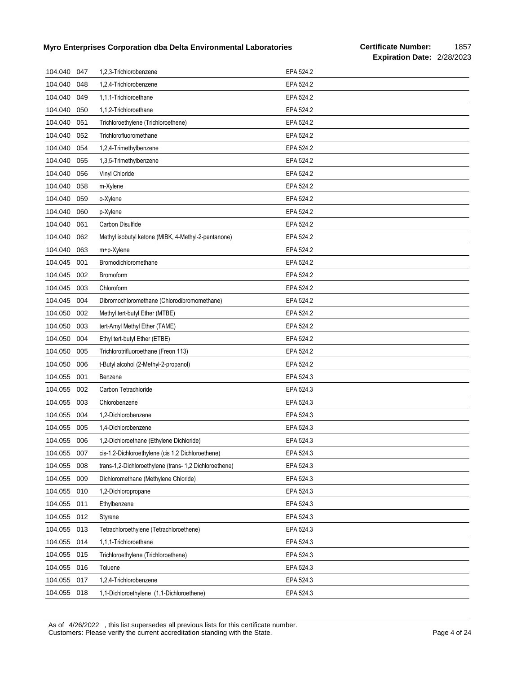| 104.040 | 047 | 1,2,3-Trichlorobenzene                                 | EPA 524.2 |
|---------|-----|--------------------------------------------------------|-----------|
| 104.040 | 048 | 1,2,4-Trichlorobenzene                                 | EPA 524.2 |
| 104.040 | 049 | 1,1,1-Trichloroethane                                  | EPA 524.2 |
| 104.040 | 050 | 1,1,2-Trichloroethane                                  | EPA 524.2 |
| 104.040 | 051 | Trichloroethylene (Trichloroethene)                    | EPA 524.2 |
| 104.040 | 052 | Trichlorofluoromethane                                 | EPA 524.2 |
| 104.040 | 054 | 1,2,4-Trimethylbenzene                                 | EPA 524.2 |
| 104.040 | 055 | 1,3,5-Trimethylbenzene                                 | EPA 524.2 |
| 104.040 | 056 | Vinyl Chloride                                         | EPA 524.2 |
| 104.040 | 058 | m-Xylene                                               | EPA 524.2 |
| 104.040 | 059 | o-Xylene                                               | EPA 524.2 |
| 104.040 | 060 | p-Xylene                                               | EPA 524.2 |
| 104.040 | 061 | Carbon Disulfide                                       | EPA 524.2 |
| 104.040 | 062 | Methyl isobutyl ketone (MIBK, 4-Methyl-2-pentanone)    | EPA 524.2 |
| 104.040 | 063 | m+p-Xylene                                             | EPA 524.2 |
| 104.045 | 001 | Bromodichloromethane                                   | EPA 524.2 |
| 104.045 | 002 | Bromoform                                              | EPA 524.2 |
| 104.045 | 003 | Chloroform                                             | EPA 524.2 |
| 104.045 | 004 | Dibromochloromethane (Chlorodibromomethane)            | EPA 524.2 |
| 104.050 | 002 | Methyl tert-butyl Ether (MTBE)                         | EPA 524.2 |
| 104.050 | 003 | tert-Amyl Methyl Ether (TAME)                          | EPA 524.2 |
| 104.050 | 004 | Ethyl tert-butyl Ether (ETBE)                          | EPA 524.2 |
| 104.050 | 005 | Trichlorotrifluoroethane (Freon 113)                   | EPA 524.2 |
| 104.050 | 006 | t-Butyl alcohol (2-Methyl-2-propanol)                  | EPA 524.2 |
| 104.055 | 001 | Benzene                                                | EPA 524.3 |
| 104.055 | 002 | Carbon Tetrachloride                                   | EPA 524.3 |
| 104.055 | 003 | Chlorobenzene                                          | EPA 524.3 |
| 104.055 | 004 | 1,2-Dichlorobenzene                                    | EPA 524.3 |
| 104.055 | 005 | 1,4-Dichlorobenzene                                    | EPA 524.3 |
| 104.055 | 006 | 1,2-Dichloroethane (Ethylene Dichloride)               | EPA 524.3 |
| 104.055 | 007 | cis-1,2-Dichloroethylene (cis 1,2 Dichloroethene)      | EPA 524.3 |
| 104.055 | 008 | trans-1,2-Dichloroethylene (trans- 1,2 Dichloroethene) | EPA 524.3 |
| 104.055 | 009 | Dichloromethane (Methylene Chloride)                   | EPA 524.3 |
| 104.055 | 010 | 1,2-Dichloropropane                                    | EPA 524.3 |
| 104.055 | 011 | Ethylbenzene                                           | EPA 524.3 |
| 104.055 | 012 | Styrene                                                | EPA 524.3 |
| 104.055 | 013 | Tetrachloroethylene (Tetrachloroethene)                | EPA 524.3 |
| 104.055 | 014 | 1,1,1-Trichloroethane                                  | EPA 524.3 |
| 104.055 | 015 | Trichloroethylene (Trichloroethene)                    | EPA 524.3 |
| 104.055 | 016 | Toluene                                                | EPA 524.3 |
| 104.055 | 017 | 1,2,4-Trichlorobenzene                                 | EPA 524.3 |
| 104.055 | 018 | 1,1-Dichloroethylene (1,1-Dichloroethene)              | EPA 524.3 |

As of 4/26/2022 , this list supersedes all previous lists for this certificate number. Customers: Please verify the current accreditation standing with the State. Page 4 of 24 of 24 of 24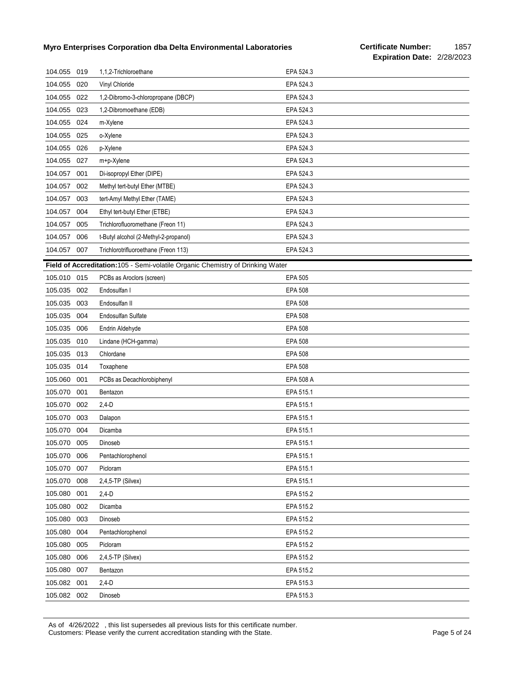| 104.055 019 |     | 1,1,2-Trichloroethane                                                          | EPA 524.3      |
|-------------|-----|--------------------------------------------------------------------------------|----------------|
| 104.055     | 020 | Vinyl Chloride                                                                 | EPA 524.3      |
| 104.055     | 022 | 1,2-Dibromo-3-chloropropane (DBCP)                                             | EPA 524.3      |
| 104.055     | 023 | 1,2-Dibromoethane (EDB)                                                        | EPA 524.3      |
| 104.055     | 024 | m-Xylene                                                                       | EPA 524.3      |
| 104.055     | 025 | o-Xylene                                                                       | EPA 524.3      |
| 104.055     | 026 | p-Xylene                                                                       | EPA 524.3      |
| 104.055     | 027 | m+p-Xylene                                                                     | EPA 524.3      |
| 104.057     | 001 | Di-isopropyl Ether (DIPE)                                                      | EPA 524.3      |
| 104.057     | 002 | Methyl tert-butyl Ether (MTBE)                                                 | EPA 524.3      |
| 104.057     | 003 | tert-Amyl Methyl Ether (TAME)                                                  | EPA 524.3      |
| 104.057     | 004 | Ethyl tert-butyl Ether (ETBE)                                                  | EPA 524.3      |
| 104.057     | 005 | Trichlorofluoromethane (Freon 11)                                              | EPA 524.3      |
| 104.057     | 006 | t-Butyl alcohol (2-Methyl-2-propanol)                                          | EPA 524.3      |
| 104.057     | 007 | Trichlorotrifluoroethane (Freon 113)                                           | EPA 524.3      |
|             |     | Field of Accreditation:105 - Semi-volatile Organic Chemistry of Drinking Water |                |
| 105.010     | 015 | PCBs as Aroclors (screen)                                                      | <b>EPA 505</b> |
| 105.035     | 002 | Endosulfan I                                                                   | <b>EPA 508</b> |
| 105.035     | 003 | Endosulfan II                                                                  | <b>EPA 508</b> |
| 105.035     | 004 | Endosulfan Sulfate                                                             | <b>EPA 508</b> |
| 105.035     | 006 | Endrin Aldehyde                                                                | <b>EPA 508</b> |
| 105.035     | 010 | Lindane (HCH-gamma)                                                            | <b>EPA 508</b> |
| 105.035     | 013 | Chlordane                                                                      | <b>EPA 508</b> |
| 105.035     | 014 | Toxaphene                                                                      | <b>EPA 508</b> |
| 105.060     | 001 | PCBs as Decachlorobiphenyl                                                     | EPA 508 A      |
| 105.070     | 001 | Bentazon                                                                       | EPA 515.1      |
| 105.070     | 002 | $2,4-D$                                                                        | EPA 515.1      |
| 105.070     | 003 | Dalapon                                                                        | EPA 515.1      |
| 105.070     | 004 | Dicamba                                                                        | EPA 515.1      |
| 105.070     | 005 | Dinoseb                                                                        | EPA 515.1      |
| 105.070     | 006 | Pentachlorophenol                                                              | EPA 515.1      |
| 105.070     | 007 | Picloram                                                                       | EPA 515.1      |
| 105.070     | 008 | 2,4,5-TP (Silvex)                                                              | EPA 515.1      |
| 105.080     | 001 | $2,4-D$                                                                        | EPA 515.2      |
| 105.080     | 002 | Dicamba                                                                        | EPA 515.2      |
| 105.080     | 003 | Dinoseb                                                                        | EPA 515.2      |
| 105.080     | 004 | Pentachlorophenol                                                              | EPA 515.2      |
| 105.080     | 005 | Picloram                                                                       | EPA 515.2      |
| 105.080     | 006 | 2,4,5-TP (Silvex)                                                              | EPA 515.2      |
| 105.080     | 007 | Bentazon                                                                       | EPA 515.2      |
| 105.082     | 001 | $2,4-D$                                                                        | EPA 515.3      |
| 105.082     | 002 | Dinoseb                                                                        | EPA 515.3      |

As of 4/26/2022 , this list supersedes all previous lists for this certificate number. Customers: Please verify the current accreditation standing with the State. Page 5 of 24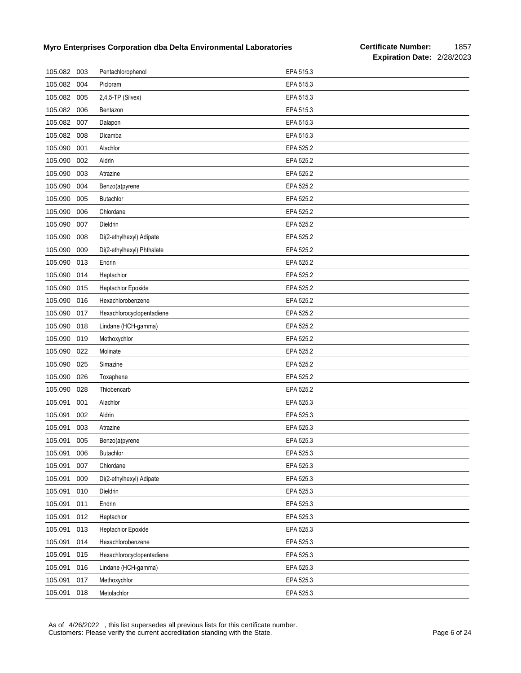| 105.082 | 003 | Pentachlorophenol          | EPA 515.3 |
|---------|-----|----------------------------|-----------|
| 105.082 | 004 | Picloram                   | EPA 515.3 |
| 105.082 | 005 | $2,4,5$ -TP (Silvex)       | EPA 515.3 |
| 105.082 | 006 | Bentazon                   | EPA 515.3 |
| 105.082 | 007 | Dalapon                    | EPA 515.3 |
| 105.082 | 008 | Dicamba                    | EPA 515.3 |
| 105.090 | 001 | Alachlor                   | EPA 525.2 |
| 105.090 | 002 | Aldrin                     | EPA 525.2 |
| 105.090 | 003 | Atrazine                   | EPA 525.2 |
| 105.090 | 004 | Benzo(a)pyrene             | EPA 525.2 |
| 105.090 | 005 | <b>Butachlor</b>           | EPA 525.2 |
| 105.090 | 006 | Chlordane                  | EPA 525.2 |
| 105.090 | 007 | Dieldrin                   | EPA 525.2 |
| 105.090 | 008 | Di(2-ethylhexyl) Adipate   | EPA 525.2 |
| 105.090 | 009 | Di(2-ethylhexyl) Phthalate | EPA 525.2 |
| 105.090 | 013 | Endrin                     | EPA 525.2 |
| 105.090 | 014 | Heptachlor                 | EPA 525.2 |
| 105.090 | 015 | Heptachlor Epoxide         | EPA 525.2 |
| 105.090 | 016 | Hexachlorobenzene          | EPA 525.2 |
| 105.090 | 017 | Hexachlorocyclopentadiene  | EPA 525.2 |
| 105.090 | 018 | Lindane (HCH-gamma)        | EPA 525.2 |
| 105.090 | 019 | Methoxychlor               | EPA 525.2 |
| 105.090 | 022 | Molinate                   | EPA 525.2 |
| 105.090 | 025 | Simazine                   | EPA 525.2 |
| 105.090 | 026 | Toxaphene                  | EPA 525.2 |
| 105.090 | 028 | Thiobencarb                | EPA 525.2 |
| 105.091 | 001 | Alachlor                   | EPA 525.3 |
| 105.091 | 002 | Aldrin                     | EPA 525.3 |
| 105.091 | 003 | Atrazine                   | EPA 525.3 |
| 105.091 | 005 | Benzo(a)pyrene             | EPA 525.3 |
| 105.091 | 006 | Butachlor                  | EPA 525.3 |
| 105.091 | 007 | Chlordane                  | EPA 525.3 |
| 105.091 | 009 | Di(2-ethylhexyl) Adipate   | EPA 525.3 |
| 105.091 | 010 | Dieldrin                   | EPA 525.3 |
| 105.091 | 011 | Endrin                     | EPA 525.3 |
| 105.091 | 012 | Heptachlor                 | EPA 525.3 |
| 105.091 | 013 | Heptachlor Epoxide         | EPA 525.3 |
| 105.091 | 014 | Hexachlorobenzene          | EPA 525.3 |
| 105.091 | 015 | Hexachlorocyclopentadiene  | EPA 525.3 |
| 105.091 | 016 | Lindane (HCH-gamma)        | EPA 525.3 |
| 105.091 | 017 | Methoxychlor               | EPA 525.3 |
| 105.091 | 018 | Metolachlor                | EPA 525.3 |

As of 4/26/2022 , this list supersedes all previous lists for this certificate number. Customers: Please verify the current accreditation standing with the State. Page 6 of 24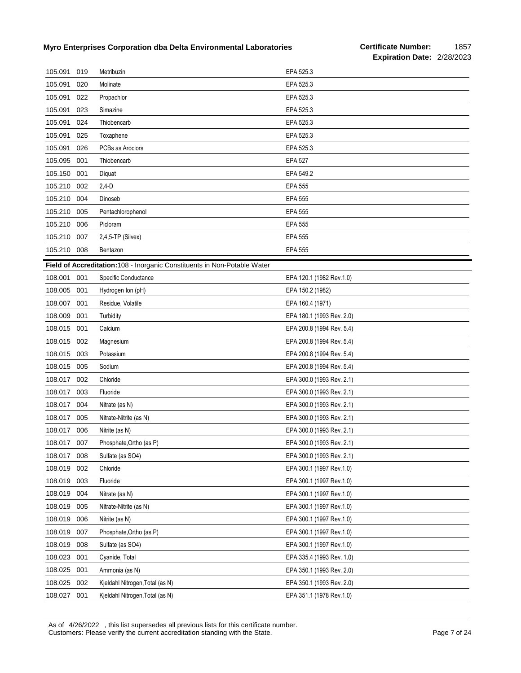| 105.091     | 019 | Metribuzin                                                                | EPA 525.3                 |
|-------------|-----|---------------------------------------------------------------------------|---------------------------|
| 105.091     | 020 | Molinate                                                                  | EPA 525.3                 |
| 105.091     | 022 | Propachlor                                                                | EPA 525.3                 |
| 105.091     | 023 | Simazine                                                                  | EPA 525.3                 |
| 105.091     | 024 | Thiobencarb                                                               | EPA 525.3                 |
| 105.091     | 025 | Toxaphene                                                                 | EPA 525.3                 |
| 105.091     | 026 | PCBs as Aroclors                                                          | EPA 525.3                 |
| 105.095     | 001 | Thiobencarb                                                               | <b>EPA 527</b>            |
| 105.150     | 001 | Diquat                                                                    | EPA 549.2                 |
| 105.210     | 002 | $2,4-D$                                                                   | <b>EPA 555</b>            |
| 105.210     | 004 | Dinoseb                                                                   | <b>EPA 555</b>            |
| 105.210     | 005 | Pentachlorophenol                                                         | <b>EPA 555</b>            |
| 105.210     | 006 | Picloram                                                                  | <b>EPA 555</b>            |
| 105.210     | 007 | 2,4,5-TP (Silvex)                                                         | <b>EPA 555</b>            |
| 105.210 008 |     | Bentazon                                                                  | <b>EPA 555</b>            |
|             |     | Field of Accreditation: 108 - Inorganic Constituents in Non-Potable Water |                           |
| 108.001     | 001 | Specific Conductance                                                      | EPA 120.1 (1982 Rev.1.0)  |
| 108.005     | 001 | Hydrogen Ion (pH)                                                         | EPA 150.2 (1982)          |
| 108.007     | 001 | Residue, Volatile                                                         | EPA 160.4 (1971)          |
| 108.009     | 001 | Turbidity                                                                 | EPA 180.1 (1993 Rev. 2.0) |
| 108.015     | 001 | Calcium                                                                   | EPA 200.8 (1994 Rev. 5.4) |
| 108.015     | 002 | Magnesium                                                                 | EPA 200.8 (1994 Rev. 5.4) |
| 108.015     | 003 | Potassium                                                                 | EPA 200.8 (1994 Rev. 5.4) |
| 108.015     | 005 | Sodium                                                                    | EPA 200.8 (1994 Rev. 5.4) |
| 108.017     | 002 | Chloride                                                                  | EPA 300.0 (1993 Rev. 2.1) |
| 108.017     | 003 | Fluoride                                                                  | EPA 300.0 (1993 Rev. 2.1) |
| 108.017     | 004 | Nitrate (as N)                                                            | EPA 300.0 (1993 Rev. 2.1) |
| 108.017     | 005 | Nitrate-Nitrite (as N)                                                    | EPA 300.0 (1993 Rev. 2.1) |
| 108.017     | 006 | Nitrite (as N)                                                            | EPA 300.0 (1993 Rev. 2.1) |
| 108.017 007 |     | Phosphate, Ortho (as P)                                                   | EPA 300.0 (1993 Rev. 2.1) |
| 108.017     | 008 | Sulfate (as SO4)                                                          | EPA 300.0 (1993 Rev. 2.1) |
| 108.019     | 002 | Chloride                                                                  | EPA 300.1 (1997 Rev.1.0)  |
| 108.019     | 003 | Fluoride                                                                  | EPA 300.1 (1997 Rev.1.0)  |
| 108.019     | 004 | Nitrate (as N)                                                            | EPA 300.1 (1997 Rev.1.0)  |
| 108.019     | 005 | Nitrate-Nitrite (as N)                                                    | EPA 300.1 (1997 Rev.1.0)  |
| 108.019     | 006 | Nitrite (as N)                                                            | EPA 300.1 (1997 Rev.1.0)  |
| 108.019     | 007 | Phosphate, Ortho (as P)                                                   | EPA 300.1 (1997 Rev.1.0)  |
| 108.019     | 008 | Sulfate (as SO4)                                                          | EPA 300.1 (1997 Rev.1.0)  |
| 108.023     | 001 | Cyanide, Total                                                            | EPA 335.4 (1993 Rev. 1.0) |
| 108.025     | 001 | Ammonia (as N)                                                            | EPA 350.1 (1993 Rev. 2.0) |
| 108.025     | 002 | Kjeldahl Nitrogen, Total (as N)                                           | EPA 350.1 (1993 Rev. 2.0) |
| 108.027     | 001 | Kjeldahl Nitrogen, Total (as N)                                           | EPA 351.1 (1978 Rev.1.0)  |

As of 4/26/2022 , this list supersedes all previous lists for this certificate number. Customers: Please verify the current accreditation standing with the State. Page 7 of 24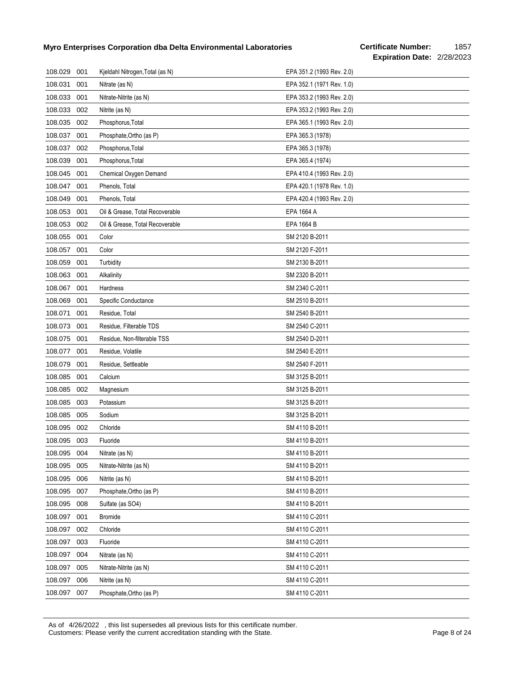## **Certificate Number:** 1857 **Expiration Date:** 2/28/2023

| 108.029 | 001 | Kjeldahl Nitrogen, Total (as N) | EPA 351.2 (1993 Rev. 2.0) |
|---------|-----|---------------------------------|---------------------------|
| 108.031 | 001 | Nitrate (as N)                  | EPA 352.1 (1971 Rev. 1.0) |
| 108.033 | 001 | Nitrate-Nitrite (as N)          | EPA 353.2 (1993 Rev. 2.0) |
| 108.033 | 002 | Nitrite (as N)                  | EPA 353.2 (1993 Rev. 2.0) |
| 108.035 | 002 | Phosphorus, Total               | EPA 365.1 (1993 Rev. 2.0) |
| 108.037 | 001 | Phosphate, Ortho (as P)         | EPA 365.3 (1978)          |
| 108.037 | 002 | Phosphorus, Total               | EPA 365.3 (1978)          |
| 108.039 | 001 | Phosphorus, Total               | EPA 365.4 (1974)          |
| 108.045 | 001 | Chemical Oxygen Demand          | EPA 410.4 (1993 Rev. 2.0) |
| 108.047 | 001 | Phenols, Total                  | EPA 420.1 (1978 Rev. 1.0) |
| 108.049 | 001 | Phenols, Total                  | EPA 420.4 (1993 Rev. 2.0) |
| 108.053 | 001 | Oil & Grease, Total Recoverable | EPA 1664 A                |
| 108.053 | 002 | Oil & Grease, Total Recoverable | EPA 1664 B                |
| 108.055 | 001 | Color                           | SM 2120 B-2011            |
| 108.057 | 001 | Color                           | SM 2120 F-2011            |
| 108.059 | 001 | Turbidity                       | SM 2130 B-2011            |
| 108.063 | 001 | Alkalinity                      | SM 2320 B-2011            |
| 108.067 | 001 | Hardness                        | SM 2340 C-2011            |
| 108.069 | 001 | Specific Conductance            | SM 2510 B-2011            |
| 108.071 | 001 | Residue, Total                  | SM 2540 B-2011            |
| 108.073 | 001 | Residue, Filterable TDS         | SM 2540 C-2011            |
| 108.075 | 001 | Residue, Non-filterable TSS     | SM 2540 D-2011            |
| 108.077 | 001 | Residue, Volatile               | SM 2540 E-2011            |
| 108.079 | 001 | Residue, Settleable             | SM 2540 F-2011            |
| 108.085 | 001 | Calcium                         | SM 3125 B-2011            |
| 108.085 | 002 | Magnesium                       | SM 3125 B-2011            |
| 108.085 | 003 | Potassium                       | SM 3125 B-2011            |
| 108.085 | 005 | Sodium                          | SM 3125 B-2011            |
| 108.095 | 002 | Chloride                        | SM 4110 B-2011            |
| 108.095 | 003 | Fluoride                        | SM 4110 B-2011            |
| 108.095 | 004 | Nitrate (as N)                  | SM 4110 B-2011            |
| 108.095 | 005 | Nitrate-Nitrite (as N)          | SM 4110 B-2011            |
| 108.095 | 006 | Nitrite (as N)                  | SM 4110 B-2011            |
| 108.095 | 007 | Phosphate, Ortho (as P)         | SM 4110 B-2011            |
| 108.095 | 008 | Sulfate (as SO4)                | SM 4110 B-2011            |
| 108.097 | 001 | <b>Bromide</b>                  | SM 4110 C-2011            |
| 108.097 | 002 | Chloride                        | SM 4110 C-2011            |
| 108.097 | 003 | Fluoride                        | SM 4110 C-2011            |
| 108.097 | 004 | Nitrate (as N)                  | SM 4110 C-2011            |
| 108.097 | 005 | Nitrate-Nitrite (as N)          | SM 4110 C-2011            |
| 108.097 | 006 | Nitrite (as N)                  | SM 4110 C-2011            |
| 108.097 | 007 | Phosphate, Ortho (as P)         | SM 4110 C-2011            |

As of 4/26/2022 , this list supersedes all previous lists for this certificate number. Customers: Please verify the current accreditation standing with the State. Page 8 of 24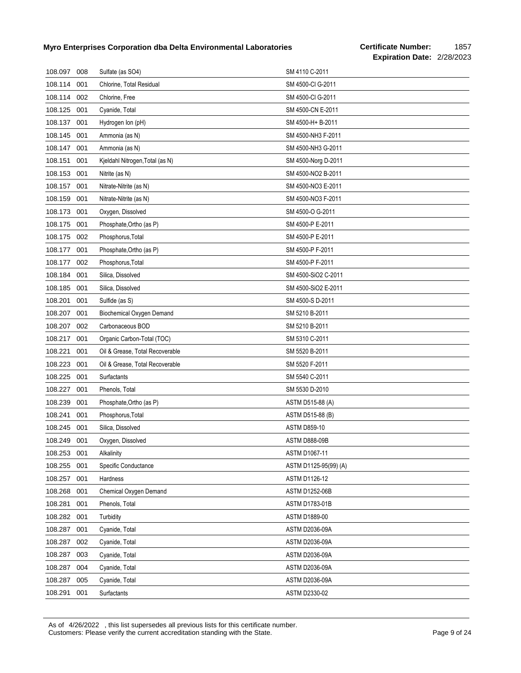| 108.097     | 008 | Sulfate (as SO4)                | SM 4110 C-2011        |
|-------------|-----|---------------------------------|-----------------------|
| 108.114     | 001 | Chlorine, Total Residual        | SM 4500-CI G-2011     |
| 108.114     | 002 | Chlorine, Free                  | SM 4500-CI G-2011     |
| 108.125     | 001 | Cyanide, Total                  | SM 4500-CN E-2011     |
| 108.137     | 001 | Hydrogen Ion (pH)               | SM 4500-H+ B-2011     |
| 108.145     | 001 | Ammonia (as N)                  | SM 4500-NH3 F-2011    |
| 108.147     | 001 | Ammonia (as N)                  | SM 4500-NH3 G-2011    |
| 108.151     | 001 | Kjeldahl Nitrogen, Total (as N) | SM 4500-Norg D-2011   |
| 108.153     | 001 | Nitrite (as N)                  | SM 4500-NO2 B-2011    |
| 108.157     | 001 | Nitrate-Nitrite (as N)          | SM 4500-NO3 E-2011    |
| 108.159     | 001 | Nitrate-Nitrite (as N)          | SM 4500-NO3 F-2011    |
| 108.173     | 001 | Oxygen, Dissolved               | SM 4500-O G-2011      |
| 108.175     | 001 | Phosphate, Ortho (as P)         | SM 4500-P E-2011      |
| 108.175     | 002 | Phosphorus, Total               | SM 4500-P E-2011      |
| 108.177     | 001 | Phosphate, Ortho (as P)         | SM 4500-P F-2011      |
| 108.177     | 002 | Phosphorus, Total               | SM 4500-P F-2011      |
| 108.184     | 001 | Silica, Dissolved               | SM 4500-SiO2 C-2011   |
| 108.185     | 001 | Silica, Dissolved               | SM 4500-SiO2 E-2011   |
| 108.201     | 001 | Sulfide (as S)                  | SM 4500-S D-2011      |
| 108.207     | 001 | Biochemical Oxygen Demand       | SM 5210 B-2011        |
| 108.207     | 002 | Carbonaceous BOD                | SM 5210 B-2011        |
| 108.217     | 001 | Organic Carbon-Total (TOC)      | SM 5310 C-2011        |
| 108.221     | 001 | Oil & Grease, Total Recoverable | SM 5520 B-2011        |
| 108.223     | 001 | Oil & Grease, Total Recoverable | SM 5520 F-2011        |
| 108.225     | 001 | Surfactants                     | SM 5540 C-2011        |
| 108.227     | 001 | Phenols, Total                  | SM 5530 D-2010        |
| 108.239     | 001 | Phosphate, Ortho (as P)         | ASTM D515-88 (A)      |
| 108.241     | 001 | Phosphorus, Total               | ASTM D515-88 (B)      |
| 108.245     | 001 | Silica, Dissolved               | <b>ASTM D859-10</b>   |
| 108.249 001 |     | Oxygen, Dissolved               | <b>ASTM D888-09B</b>  |
| 108.253     | 001 | Alkalinity                      | <b>ASTM D1067-11</b>  |
| 108.255     | 001 | Specific Conductance            | ASTM D1125-95(99) (A) |
| 108.257     | 001 | Hardness                        | ASTM D1126-12         |
| 108.268     | 001 | Chemical Oxygen Demand          | <b>ASTM D1252-06B</b> |
| 108.281     | 001 | Phenols, Total                  | <b>ASTM D1783-01B</b> |
| 108.282     | 001 | Turbidity                       | ASTM D1889-00         |
| 108.287     | 001 | Cyanide, Total                  | <b>ASTM D2036-09A</b> |
| 108.287     | 002 | Cyanide, Total                  | ASTM D2036-09A        |
| 108.287     | 003 | Cyanide, Total                  | ASTM D2036-09A        |
| 108.287     | 004 | Cyanide, Total                  | ASTM D2036-09A        |
| 108.287     | 005 | Cyanide, Total                  | ASTM D2036-09A        |
| 108.291     | 001 | Surfactants                     | ASTM D2330-02         |

As of 4/26/2022 , this list supersedes all previous lists for this certificate number. Customers: Please verify the current accreditation standing with the State. Page 9 of 24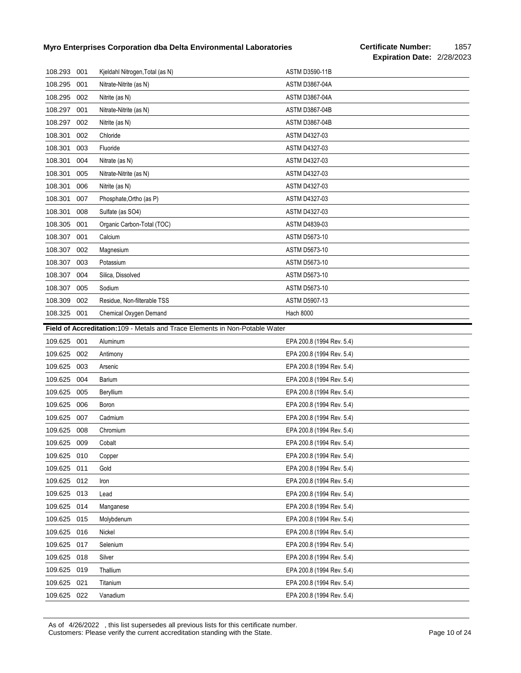| 108.293                                                                      | 001 | Kjeldahl Nitrogen, Total (as N) | <b>ASTM D3590-11B</b>     |  |
|------------------------------------------------------------------------------|-----|---------------------------------|---------------------------|--|
| 108.295                                                                      | 001 | Nitrate-Nitrite (as N)          | <b>ASTM D3867-04A</b>     |  |
| 108.295                                                                      | 002 | Nitrite (as N)                  | <b>ASTM D3867-04A</b>     |  |
| 108.297                                                                      | 001 | Nitrate-Nitrite (as N)          | <b>ASTM D3867-04B</b>     |  |
| 108.297                                                                      | 002 | Nitrite (as N)                  | <b>ASTM D3867-04B</b>     |  |
| 108.301                                                                      | 002 | Chloride                        | ASTM D4327-03             |  |
| 108.301                                                                      | 003 | Fluoride                        | ASTM D4327-03             |  |
| 108.301                                                                      | 004 | Nitrate (as N)                  | ASTM D4327-03             |  |
| 108.301                                                                      | 005 | Nitrate-Nitrite (as N)          | ASTM D4327-03             |  |
| 108.301                                                                      | 006 | Nitrite (as N)                  | <b>ASTM D4327-03</b>      |  |
| 108.301                                                                      | 007 | Phosphate, Ortho (as P)         | ASTM D4327-03             |  |
| 108.301                                                                      | 008 | Sulfate (as SO4)                | <b>ASTM D4327-03</b>      |  |
| 108.305                                                                      | 001 | Organic Carbon-Total (TOC)      | ASTM D4839-03             |  |
| 108.307                                                                      | 001 | Calcium                         | <b>ASTM D5673-10</b>      |  |
| 108.307                                                                      | 002 | Magnesium                       | <b>ASTM D5673-10</b>      |  |
| 108.307                                                                      | 003 | Potassium                       | <b>ASTM D5673-10</b>      |  |
| 108.307                                                                      | 004 | Silica, Dissolved               | ASTM D5673-10             |  |
| 108.307                                                                      | 005 | Sodium                          | <b>ASTM D5673-10</b>      |  |
| 108.309                                                                      | 002 | Residue, Non-filterable TSS     | <b>ASTM D5907-13</b>      |  |
| 108.325                                                                      | 001 | Chemical Oxygen Demand          | <b>Hach 8000</b>          |  |
| Field of Accreditation: 109 - Metals and Trace Elements in Non-Potable Water |     |                                 |                           |  |
|                                                                              |     |                                 |                           |  |
| 109.625                                                                      | 001 | Aluminum                        | EPA 200.8 (1994 Rev. 5.4) |  |
| 109.625                                                                      | 002 | Antimony                        | EPA 200.8 (1994 Rev. 5.4) |  |
| 109.625                                                                      | 003 | Arsenic                         | EPA 200.8 (1994 Rev. 5.4) |  |
| 109.625                                                                      | 004 | Barium                          | EPA 200.8 (1994 Rev. 5.4) |  |
| 109.625                                                                      | 005 | Beryllium                       | EPA 200.8 (1994 Rev. 5.4) |  |
| 109.625                                                                      | 006 | Boron                           | EPA 200.8 (1994 Rev. 5.4) |  |
| 109.625                                                                      | 007 | Cadmium                         | EPA 200.8 (1994 Rev. 5.4) |  |
| 109.625                                                                      | 008 | Chromium                        | EPA 200.8 (1994 Rev. 5.4) |  |
| 109.625                                                                      | 009 | Cobalt                          | EPA 200.8 (1994 Rev. 5.4) |  |
| 109.625                                                                      | 010 | Copper                          | EPA 200.8 (1994 Rev. 5.4) |  |
| 109.625                                                                      | 011 | Gold                            | EPA 200.8 (1994 Rev. 5.4) |  |
| 109.625                                                                      | 012 | Iron                            | EPA 200.8 (1994 Rev. 5.4) |  |
| 109.625                                                                      | 013 | Lead                            | EPA 200.8 (1994 Rev. 5.4) |  |
| 109.625                                                                      | 014 | Manganese                       | EPA 200.8 (1994 Rev. 5.4) |  |
| 109.625                                                                      | 015 | Molybdenum                      | EPA 200.8 (1994 Rev. 5.4) |  |
| 109.625                                                                      | 016 | Nickel                          | EPA 200.8 (1994 Rev. 5.4) |  |
| 109.625                                                                      | 017 | Selenium                        | EPA 200.8 (1994 Rev. 5.4) |  |
| 109.625                                                                      | 018 | Silver                          | EPA 200.8 (1994 Rev. 5.4) |  |
| 109.625                                                                      | 019 | Thallium                        | EPA 200.8 (1994 Rev. 5.4) |  |
| 109.625                                                                      | 021 | Titanium                        | EPA 200.8 (1994 Rev. 5.4) |  |

As of 4/26/2022 , this list supersedes all previous lists for this certificate number. Customers: Please verify the current accreditation standing with the State. Customers: Please 10 of 24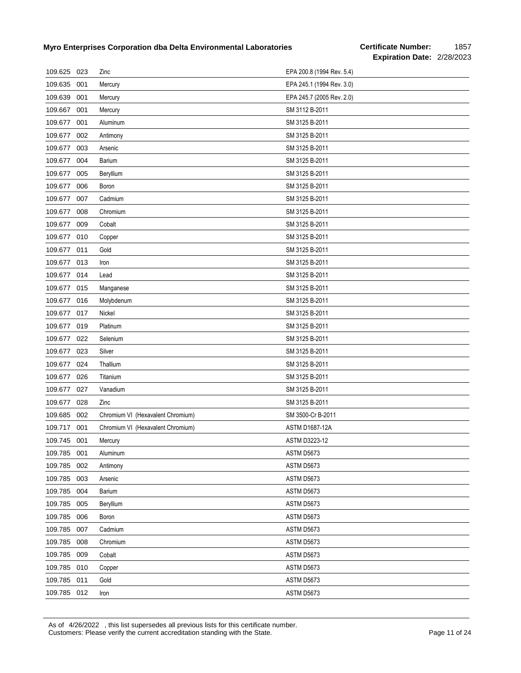## **Certificate Number:** 1857 **Expiration Date:** 2/28/2023

| 109.625 023 |     | Zinc                              | EPA 200.8 (1994 Rev. 5.4) |
|-------------|-----|-----------------------------------|---------------------------|
| 109.635     | 001 | Mercury                           | EPA 245.1 (1994 Rev. 3.0) |
| 109.639     | 001 | Mercury                           | EPA 245.7 (2005 Rev. 2.0) |
| 109.667     | 001 | Mercury                           | SM 3112 B-2011            |
| 109.677     | 001 | Aluminum                          | SM 3125 B-2011            |
| 109.677     | 002 | Antimony                          | SM 3125 B-2011            |
| 109.677     | 003 | Arsenic                           | SM 3125 B-2011            |
| 109.677     | 004 | Barium                            | SM 3125 B-2011            |
| 109.677     | 005 | Beryllium                         | SM 3125 B-2011            |
| 109.677     | 006 | Boron                             | SM 3125 B-2011            |
| 109.677     | 007 | Cadmium                           | SM 3125 B-2011            |
| 109.677     | 008 | Chromium                          | SM 3125 B-2011            |
| 109.677     | 009 | Cobalt                            | SM 3125 B-2011            |
| 109.677     | 010 | Copper                            | SM 3125 B-2011            |
| 109.677     | 011 | Gold                              | SM 3125 B-2011            |
| 109.677     | 013 | Iron                              | SM 3125 B-2011            |
| 109.677     | 014 | Lead                              | SM 3125 B-2011            |
| 109.677     | 015 | Manganese                         | SM 3125 B-2011            |
| 109.677     | 016 | Molybdenum                        | SM 3125 B-2011            |
| 109.677     | 017 | Nickel                            | SM 3125 B-2011            |
| 109.677     | 019 | Platinum                          | SM 3125 B-2011            |
| 109.677     | 022 | Selenium                          | SM 3125 B-2011            |
| 109.677     | 023 | Silver                            | SM 3125 B-2011            |
| 109.677     | 024 | Thallium                          | SM 3125 B-2011            |
| 109.677     | 026 | Titanium                          | SM 3125 B-2011            |
| 109.677     | 027 | Vanadium                          | SM 3125 B-2011            |
| 109.677     | 028 | Zinc                              | SM 3125 B-2011            |
| 109.685     | 002 | Chromium VI (Hexavalent Chromium) | SM 3500-Cr B-2011         |
| 109.717     | 001 | Chromium VI (Hexavalent Chromium) | <b>ASTM D1687-12A</b>     |
| 109.745 001 |     | Mercury                           | ASTM D3223-12             |
| 109.785     | 001 | Aluminum                          | ASTM D5673                |
| 109.785     | 002 | Antimony                          | ASTM D5673                |
| 109.785     | 003 | Arsenic                           | ASTM D5673                |
| 109.785     | 004 | <b>Barium</b>                     | ASTM D5673                |
| 109.785     | 005 | Beryllium                         | ASTM D5673                |
| 109.785     | 006 | Boron                             | ASTM D5673                |
| 109.785     | 007 | Cadmium                           | ASTM D5673                |
| 109.785     | 008 | Chromium                          | ASTM D5673                |
| 109.785     | 009 | Cobalt                            | ASTM D5673                |
| 109.785     | 010 | Copper                            | ASTM D5673                |
| 109.785     | 011 | Gold                              | ASTM D5673                |
| 109.785 012 |     | Iron                              | ASTM D5673                |

As of 4/26/2022 , this list supersedes all previous lists for this certificate number. Customers: Please verify the current accreditation standing with the State. Page 11 of 24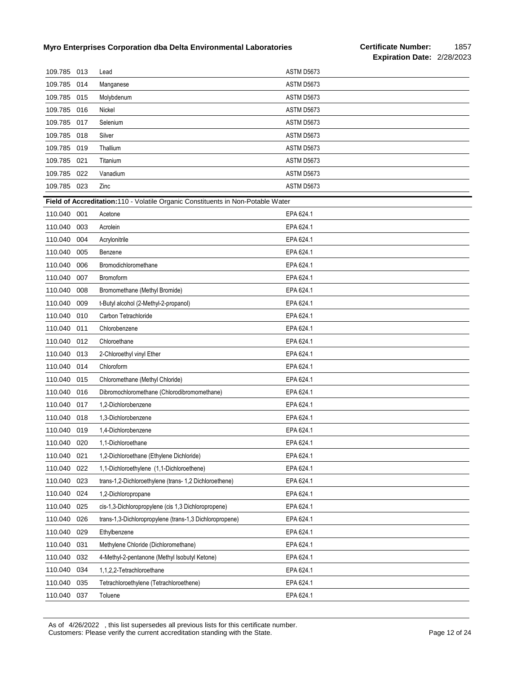| 109.785 013 |     | Lead                                                                            | ASTM D5673        |
|-------------|-----|---------------------------------------------------------------------------------|-------------------|
| 109.785     | 014 | Manganese                                                                       | ASTM D5673        |
| 109.785     | 015 | Molybdenum                                                                      | ASTM D5673        |
| 109.785     | 016 | Nickel                                                                          | ASTM D5673        |
| 109.785     | 017 | Selenium                                                                        | <b>ASTM D5673</b> |
| 109.785     | 018 | Silver                                                                          | ASTM D5673        |
| 109.785     | 019 | Thallium                                                                        | ASTM D5673        |
| 109.785     | 021 | Titanium                                                                        | ASTM D5673        |
| 109.785     | 022 | Vanadium                                                                        | ASTM D5673        |
| 109.785     | 023 | Zinc                                                                            | ASTM D5673        |
|             |     | Field of Accreditation:110 - Volatile Organic Constituents in Non-Potable Water |                   |
| 110.040     | 001 | Acetone                                                                         | EPA 624.1         |
| 110.040     | 003 | Acrolein                                                                        | EPA 624.1         |
| 110.040     | 004 | Acrylonitrile                                                                   | EPA 624.1         |
| 110.040     | 005 | Benzene                                                                         | EPA 624.1         |
| 110.040     | 006 | Bromodichloromethane                                                            | EPA 624.1         |
| 110.040     | 007 | Bromoform                                                                       | EPA 624.1         |
| 110.040     | 008 | Bromomethane (Methyl Bromide)                                                   | EPA 624.1         |
| 110.040     | 009 | t-Butyl alcohol (2-Methyl-2-propanol)                                           | EPA 624.1         |
| 110.040     | 010 | Carbon Tetrachloride                                                            | EPA 624.1         |
| 110.040     | 011 | Chlorobenzene                                                                   | EPA 624.1         |
| 110.040     | 012 | Chloroethane                                                                    | EPA 624.1         |
| 110.040     | 013 | 2-Chloroethyl vinyl Ether                                                       | EPA 624.1         |
| 110.040     | 014 | Chloroform                                                                      | EPA 624.1         |
| 110.040     | 015 | Chloromethane (Methyl Chloride)                                                 | EPA 624.1         |
| 110.040     | 016 | Dibromochloromethane (Chlorodibromomethane)                                     | EPA 624.1         |
| 110.040     | 017 | 1,2-Dichlorobenzene                                                             | EPA 624.1         |
| 110.040     | 018 | 1,3-Dichlorobenzene                                                             | EPA 624.1         |
| 110.040     | 019 | 1,4-Dichlorobenzene                                                             | EPA 624.1         |
| 110.040     | 020 | 1,1-Dichloroethane                                                              | EPA 624.1         |
| 110.040     | 021 | 1,2-Dichloroethane (Ethylene Dichloride)                                        | EPA 624.1         |
| 110.040     | 022 | 1,1-Dichloroethylene (1,1-Dichloroethene)                                       | EPA 624.1         |
| 110.040     | 023 | trans-1,2-Dichloroethylene (trans- 1,2 Dichloroethene)                          | EPA 624.1         |
| 110.040     | 024 | 1,2-Dichloropropane                                                             | EPA 624.1         |
| 110.040     | 025 | cis-1,3-Dichloropropylene (cis 1,3 Dichloropropene)                             | EPA 624.1         |
| 110.040     | 026 | trans-1,3-Dichloropropylene (trans-1,3 Dichloropropene)                         | EPA 624.1         |
| 110.040     | 029 | Ethylbenzene                                                                    | EPA 624.1         |
| 110.040     | 031 | Methylene Chloride (Dichloromethane)                                            | EPA 624.1         |
| 110.040     | 032 | 4-Methyl-2-pentanone (Methyl Isobutyl Ketone)                                   | EPA 624.1         |
| 110.040     | 034 | 1,1,2,2-Tetrachloroethane                                                       | EPA 624.1         |
| 110.040     | 035 | Tetrachloroethylene (Tetrachloroethene)                                         | EPA 624.1         |
| 110.040     | 037 | Toluene                                                                         | EPA 624.1         |

As of 4/26/2022 , this list supersedes all previous lists for this certificate number. Customers: Please verify the current accreditation standing with the State. Customers: Please 12 of 24 Page 12 of 24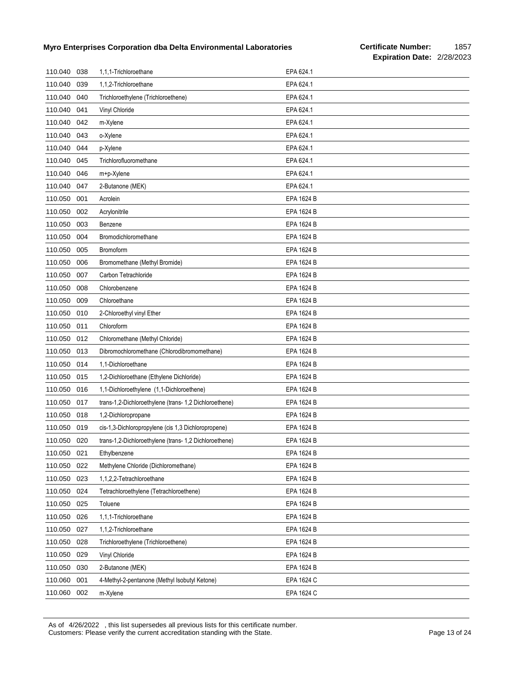| 110.040 | 038 | 1,1,1-Trichloroethane                                  | EPA 624.1  |
|---------|-----|--------------------------------------------------------|------------|
| 110.040 | 039 | 1,1,2-Trichloroethane                                  | EPA 624.1  |
| 110.040 | 040 | Trichloroethylene (Trichloroethene)                    | EPA 624.1  |
| 110.040 | 041 | Vinyl Chloride                                         | EPA 624.1  |
| 110.040 | 042 | m-Xylene                                               | EPA 624.1  |
| 110.040 | 043 | o-Xylene                                               | EPA 624.1  |
| 110.040 | 044 | p-Xylene                                               | EPA 624.1  |
| 110.040 | 045 | Trichlorofluoromethane                                 | EPA 624.1  |
| 110.040 | 046 | m+p-Xylene                                             | EPA 624.1  |
| 110.040 | 047 | 2-Butanone (MEK)                                       | EPA 624.1  |
| 110.050 | 001 | Acrolein                                               | EPA 1624 B |
| 110.050 | 002 | Acrylonitrile                                          | EPA 1624 B |
| 110.050 | 003 | Benzene                                                | EPA 1624 B |
| 110.050 | 004 | Bromodichloromethane                                   | EPA 1624 B |
| 110.050 | 005 | Bromoform                                              | EPA 1624 B |
| 110.050 | 006 | Bromomethane (Methyl Bromide)                          | EPA 1624 B |
| 110.050 | 007 | Carbon Tetrachloride                                   | EPA 1624 B |
| 110.050 | 008 | Chlorobenzene                                          | EPA 1624 B |
| 110.050 | 009 | Chloroethane                                           | EPA 1624 B |
| 110.050 | 010 | 2-Chloroethyl vinyl Ether                              | EPA 1624 B |
| 110.050 | 011 | Chloroform                                             | EPA 1624 B |
| 110.050 | 012 | Chloromethane (Methyl Chloride)                        | EPA 1624 B |
| 110.050 | 013 | Dibromochloromethane (Chlorodibromomethane)            | EPA 1624 B |
| 110.050 | 014 | 1,1-Dichloroethane                                     | EPA 1624 B |
| 110.050 | 015 | 1,2-Dichloroethane (Ethylene Dichloride)               | EPA 1624 B |
| 110.050 | 016 | 1,1-Dichloroethylene (1,1-Dichloroethene)              | EPA 1624 B |
| 110.050 | 017 | trans-1,2-Dichloroethylene (trans- 1,2 Dichloroethene) | EPA 1624 B |
| 110.050 | 018 | 1,2-Dichloropropane                                    | EPA 1624 B |
| 110.050 | 019 | cis-1,3-Dichloropropylene (cis 1,3 Dichloropropene)    | EPA 1624 B |
| 110.050 | 020 | trans-1,2-Dichloroethylene (trans- 1,2 Dichloroethene) | EPA 1624 B |
| 110.050 | 021 | Ethylbenzene                                           | EPA 1624 B |
| 110.050 | 022 | Methylene Chloride (Dichloromethane)                   | EPA 1624 B |
| 110.050 | 023 | 1,1,2,2-Tetrachloroethane                              | EPA 1624 B |
| 110.050 | 024 | Tetrachloroethylene (Tetrachloroethene)                | EPA 1624 B |
| 110.050 | 025 | Toluene                                                | EPA 1624 B |
| 110.050 | 026 | 1,1,1-Trichloroethane                                  | EPA 1624 B |
| 110.050 | 027 | 1,1,2-Trichloroethane                                  | EPA 1624 B |
| 110.050 | 028 | Trichloroethylene (Trichloroethene)                    | EPA 1624 B |
| 110.050 | 029 | Vinyl Chloride                                         | EPA 1624 B |
| 110.050 | 030 | 2-Butanone (MEK)                                       | EPA 1624 B |
| 110.060 | 001 | 4-Methyl-2-pentanone (Methyl Isobutyl Ketone)          | EPA 1624 C |
| 110.060 | 002 | m-Xylene                                               | EPA 1624 C |

As of 4/26/2022 , this list supersedes all previous lists for this certificate number. Customers: Please verify the current accreditation standing with the State. Customers: Please 13 of 24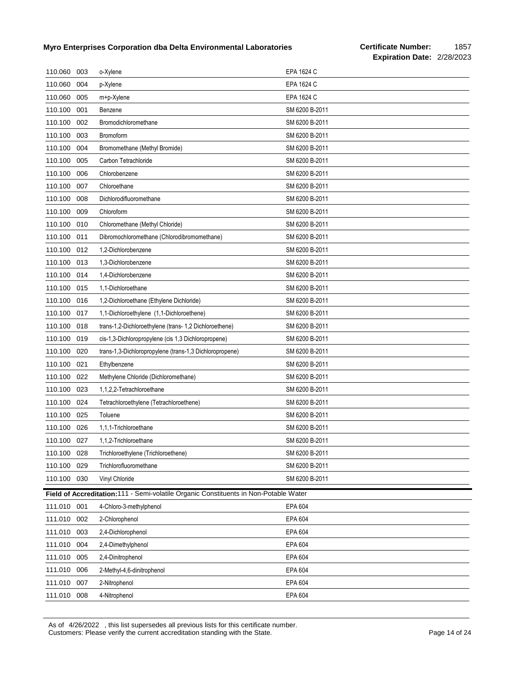| 110.060     | 003 | o-Xylene                                                                             | EPA 1624 C     |
|-------------|-----|--------------------------------------------------------------------------------------|----------------|
| 110.060     | 004 | p-Xylene                                                                             | EPA 1624 C     |
| 110.060     | 005 | m+p-Xylene                                                                           | EPA 1624 C     |
| 110.100     | 001 | Benzene                                                                              | SM 6200 B-2011 |
| 110.100     | 002 | Bromodichloromethane                                                                 | SM 6200 B-2011 |
| 110.100     | 003 | Bromoform                                                                            | SM 6200 B-2011 |
| 110.100     | 004 | Bromomethane (Methyl Bromide)                                                        | SM 6200 B-2011 |
| 110.100     | 005 | Carbon Tetrachloride                                                                 | SM 6200 B-2011 |
| 110.100     | 006 | Chlorobenzene                                                                        | SM 6200 B-2011 |
| 110.100     | 007 | Chloroethane                                                                         | SM 6200 B-2011 |
| 110.100     | 008 | Dichlorodifluoromethane                                                              | SM 6200 B-2011 |
| 110.100     | 009 | Chloroform                                                                           | SM 6200 B-2011 |
| 110.100     | 010 | Chloromethane (Methyl Chloride)                                                      | SM 6200 B-2011 |
| 110.100     | 011 | Dibromochloromethane (Chlorodibromomethane)                                          | SM 6200 B-2011 |
| 110.100     | 012 | 1,2-Dichlorobenzene                                                                  | SM 6200 B-2011 |
| 110.100     | 013 | 1,3-Dichlorobenzene                                                                  | SM 6200 B-2011 |
| 110.100     | 014 | 1,4-Dichlorobenzene                                                                  | SM 6200 B-2011 |
| 110.100     | 015 | 1,1-Dichloroethane                                                                   | SM 6200 B-2011 |
| 110.100     | 016 | 1,2-Dichloroethane (Ethylene Dichloride)                                             | SM 6200 B-2011 |
| 110.100     | 017 | 1,1-Dichloroethylene (1,1-Dichloroethene)                                            | SM 6200 B-2011 |
| 110.100     | 018 | trans-1,2-Dichloroethylene (trans- 1,2 Dichloroethene)                               | SM 6200 B-2011 |
| 110.100     | 019 | cis-1,3-Dichloropropylene (cis 1,3 Dichloropropene)                                  | SM 6200 B-2011 |
| 110.100     | 020 | trans-1,3-Dichloropropylene (trans-1,3 Dichloropropene)                              | SM 6200 B-2011 |
| 110.100     | 021 | Ethylbenzene                                                                         | SM 6200 B-2011 |
| 110.100     | 022 | Methylene Chloride (Dichloromethane)                                                 | SM 6200 B-2011 |
| 110.100     | 023 | 1,1,2,2-Tetrachloroethane                                                            | SM 6200 B-2011 |
| 110.100     | 024 | Tetrachloroethylene (Tetrachloroethene)                                              | SM 6200 B-2011 |
| 110.100     | 025 | Toluene                                                                              | SM 6200 B-2011 |
| 110.100     | 026 | 1,1,1-Trichloroethane                                                                | SM 6200 B-2011 |
| 110.100     | 027 | 1,1,2-Trichloroethane                                                                | SM 6200 B-2011 |
| 110.100 028 |     | Trichloroethylene (Trichloroethene)                                                  | SM 6200 B-2011 |
| 110.100     | 029 | Trichlorofluoromethane                                                               | SM 6200 B-2011 |
| 110.100     | 030 | Vinyl Chloride                                                                       | SM 6200 B-2011 |
|             |     | Field of Accreditation:111 - Semi-volatile Organic Constituents in Non-Potable Water |                |
| 111.010 001 |     | 4-Chloro-3-methylphenol                                                              | EPA 604        |
| 111.010     | 002 | 2-Chlorophenol                                                                       | EPA 604        |
| 111.010     | 003 | 2,4-Dichlorophenol                                                                   | EPA 604        |
| 111.010     | 004 | 2,4-Dimethylphenol                                                                   | EPA 604        |
| 111.010     | 005 | 2,4-Dinitrophenol                                                                    | EPA 604        |
| 111.010     | 006 | 2-Methyl-4,6-dinitrophenol                                                           | EPA 604        |
| 111.010     | 007 | 2-Nitrophenol                                                                        | EPA 604        |
| 111.010     | 008 | 4-Nitrophenol                                                                        | EPA 604        |

As of 4/26/2022 , this list supersedes all previous lists for this certificate number. Customers: Please verify the current accreditation standing with the State. Customers: Please 14 of 24 of 24 of 24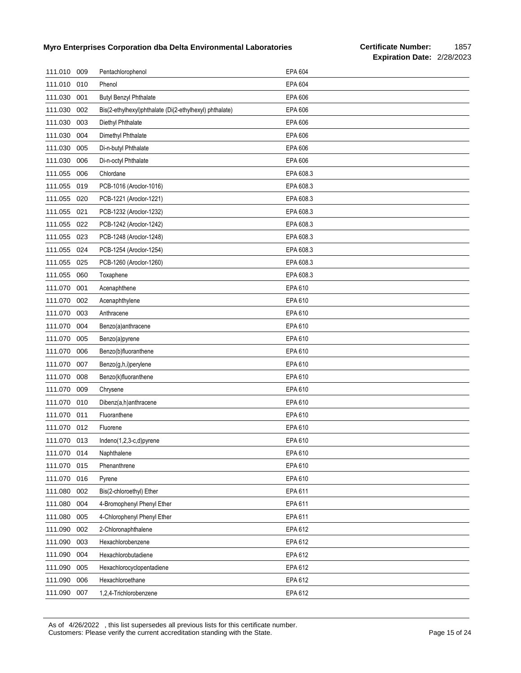| 111.010     | 009 | Pentachlorophenol                                       | EPA 604        |
|-------------|-----|---------------------------------------------------------|----------------|
| 111.010     | 010 | Phenol                                                  | EPA 604        |
| 111.030     | 001 | <b>Butyl Benzyl Phthalate</b>                           | EPA 606        |
| 111.030     | 002 | Bis(2-ethylhexyl)phthalate (Di(2-ethylhexyl) phthalate) | EPA 606        |
| 111.030     | 003 | Diethyl Phthalate                                       | EPA 606        |
| 111.030     | 004 | Dimethyl Phthalate                                      | EPA 606        |
| 111.030     | 005 | Di-n-butyl Phthalate                                    | <b>EPA 606</b> |
| 111.030     | 006 | Di-n-octyl Phthalate                                    | EPA 606        |
| 111.055     | 006 | Chlordane                                               | EPA 608.3      |
| 111.055     | 019 | PCB-1016 (Aroclor-1016)                                 | EPA 608.3      |
| 111.055     | 020 | PCB-1221 (Aroclor-1221)                                 | EPA 608.3      |
| 111.055     | 021 | PCB-1232 (Aroclor-1232)                                 | EPA 608.3      |
| 111.055     | 022 | PCB-1242 (Aroclor-1242)                                 | EPA 608.3      |
| 111.055     | 023 | PCB-1248 (Aroclor-1248)                                 | EPA 608.3      |
| 111.055     | 024 | PCB-1254 (Aroclor-1254)                                 | EPA 608.3      |
| 111.055     | 025 | PCB-1260 (Aroclor-1260)                                 | EPA 608.3      |
| 111.055     | 060 | Toxaphene                                               | EPA 608.3      |
| 111.070     | 001 | Acenaphthene                                            | EPA 610        |
| 111.070     | 002 | Acenaphthylene                                          | EPA 610        |
| 111.070     | 003 | Anthracene                                              | EPA 610        |
| 111.070     | 004 | Benzo(a)anthracene                                      | EPA 610        |
| 111.070     | 005 | Benzo(a)pyrene                                          | EPA 610        |
| 111.070     | 006 | Benzo(b)fluoranthene                                    | EPA 610        |
| 111.070     | 007 | Benzo(g,h,i)perylene                                    | EPA 610        |
| 111.070     | 008 | Benzo(k)fluoranthene                                    | EPA 610        |
| 111.070     | 009 | Chrysene                                                | EPA 610        |
| 111.070     | 010 | Dibenz(a,h)anthracene                                   | EPA 610        |
| 111.070     | 011 | Fluoranthene                                            | EPA 610        |
| 111.070     | 012 | Fluorene                                                | EPA 610        |
| 111.070 013 |     | Indeno(1,2,3-c,d)pyrene                                 | EPA 610        |
| 111.070     | 014 | Naphthalene                                             | EPA 610        |
| 111.070     | 015 | Phenanthrene                                            | EPA 610        |
| 111.070     | 016 | Pyrene                                                  | EPA 610        |
| 111.080     | 002 | Bis(2-chloroethyl) Ether                                | EPA 611        |
| 111.080     | 004 | 4-Bromophenyl Phenyl Ether                              | EPA 611        |
| 111.080     | 005 | 4-Chlorophenyl Phenyl Ether                             | EPA 611        |
| 111.090     | 002 | 2-Chloronaphthalene                                     | EPA 612        |
| 111.090     | 003 | Hexachlorobenzene                                       | EPA 612        |
| 111.090     | 004 | Hexachlorobutadiene                                     | EPA 612        |
| 111.090     | 005 | Hexachlorocyclopentadiene                               | EPA 612        |
| 111.090     | 006 | Hexachloroethane                                        | EPA 612        |
| 111.090     | 007 | 1,2,4-Trichlorobenzene                                  | EPA 612        |

As of 4/26/2022 , this list supersedes all previous lists for this certificate number. Customers: Please verify the current accreditation standing with the State. Customers: Please 15 of 24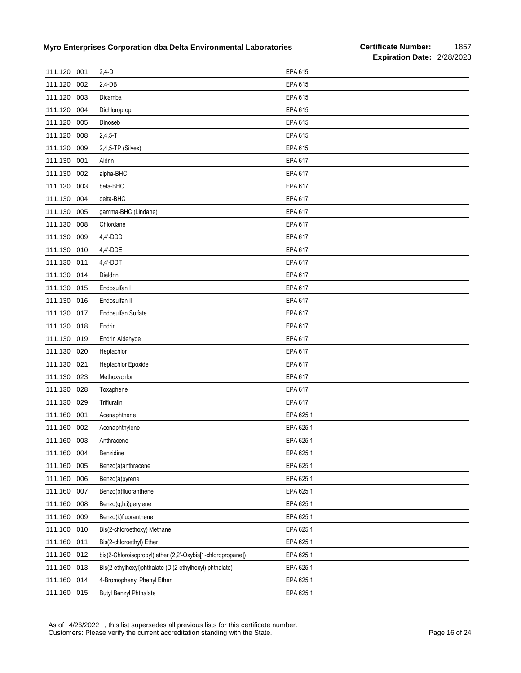| 111.120 | 001 | $2,4-D$                                                     | EPA 615   |
|---------|-----|-------------------------------------------------------------|-----------|
| 111.120 | 002 | $2,4-DB$                                                    | EPA 615   |
| 111.120 | 003 | Dicamba                                                     | EPA 615   |
| 111.120 | 004 | Dichloroprop                                                | EPA 615   |
| 111.120 | 005 | Dinoseb                                                     | EPA 615   |
| 111.120 | 008 | $2,4,5 - T$                                                 | EPA 615   |
| 111.120 | 009 | 2,4,5-TP (Silvex)                                           | EPA 615   |
| 111.130 | 001 | Aldrin                                                      | EPA 617   |
| 111.130 | 002 | alpha-BHC                                                   | EPA 617   |
| 111.130 | 003 | beta-BHC                                                    | EPA 617   |
| 111.130 | 004 | delta-BHC                                                   | EPA 617   |
| 111.130 | 005 | gamma-BHC (Lindane)                                         | EPA 617   |
| 111.130 | 008 | Chlordane                                                   | EPA 617   |
| 111.130 | 009 | 4,4'-DDD                                                    | EPA 617   |
| 111.130 | 010 | 4,4'-DDE                                                    | EPA 617   |
| 111.130 | 011 | 4,4'-DDT                                                    | EPA 617   |
| 111.130 | 014 | Dieldrin                                                    | EPA 617   |
| 111.130 | 015 | Endosulfan I                                                | EPA 617   |
| 111.130 | 016 | Endosulfan II                                               | EPA 617   |
| 111.130 | 017 | Endosulfan Sulfate                                          | EPA 617   |
| 111.130 | 018 | Endrin                                                      | EPA 617   |
| 111.130 | 019 | Endrin Aldehyde                                             | EPA 617   |
| 111.130 | 020 | Heptachlor                                                  | EPA 617   |
| 111.130 | 021 | Heptachlor Epoxide                                          | EPA 617   |
| 111.130 | 023 | Methoxychlor                                                | EPA 617   |
| 111.130 | 028 | Toxaphene                                                   | EPA 617   |
| 111.130 | 029 | Trifluralin                                                 | EPA 617   |
| 111.160 | 001 | Acenaphthene                                                | EPA 625.1 |
| 111.160 | 002 | Acenaphthylene                                              | EPA 625.1 |
| 111.160 | 003 | Anthracene                                                  | EPA 625.1 |
| 111.160 | 004 | Benzidine                                                   | EPA 625.1 |
| 111.160 | 005 | Benzo(a)anthracene                                          | EPA 625.1 |
| 111.160 | 006 | Benzo(a)pyrene                                              | EPA 625.1 |
| 111.160 | 007 | Benzo(b)fluoranthene                                        | EPA 625.1 |
| 111.160 | 008 | Benzo(g,h,i)perylene                                        | EPA 625.1 |
| 111.160 | 009 | Benzo(k)fluoranthene                                        | EPA 625.1 |
| 111.160 | 010 | Bis(2-chloroethoxy) Methane                                 | EPA 625.1 |
| 111.160 | 011 | Bis(2-chloroethyl) Ether                                    | EPA 625.1 |
| 111.160 | 012 | bis(2-Chloroisopropyl) ether (2,2'-Oxybis[1-chloropropane]) | EPA 625.1 |
| 111.160 | 013 | Bis(2-ethylhexyl)phthalate (Di(2-ethylhexyl) phthalate)     | EPA 625.1 |
| 111.160 | 014 | 4-Bromophenyl Phenyl Ether                                  | EPA 625.1 |
| 111.160 | 015 | <b>Butyl Benzyl Phthalate</b>                               | EPA 625.1 |

As of 4/26/2022 , this list supersedes all previous lists for this certificate number. Customers: Please verify the current accreditation standing with the State. Customers: Please 16 of 24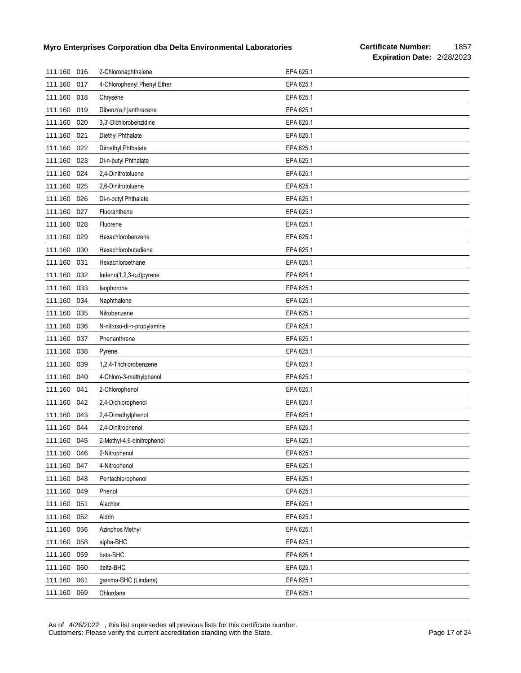| 111.160 | 016 | 2-Chloronaphthalene         | EPA 625.1 |
|---------|-----|-----------------------------|-----------|
| 111.160 | 017 | 4-Chlorophenyl Phenyl Ether | EPA 625.1 |
| 111.160 | 018 | Chrysene                    | EPA 625.1 |
| 111.160 | 019 | Dibenz(a,h)anthracene       | EPA 625.1 |
| 111.160 | 020 | 3,3'-Dichlorobenzidine      | EPA 625.1 |
| 111.160 | 021 | Diethyl Phthalate           | EPA 625.1 |
| 111.160 | 022 | Dimethyl Phthalate          | EPA 625.1 |
| 111.160 | 023 | Di-n-butyl Phthalate        | EPA 625.1 |
| 111.160 | 024 | 2,4-Dinitrotoluene          | EPA 625.1 |
| 111.160 | 025 | 2,6-Dinitrotoluene          | EPA 625.1 |
| 111.160 | 026 | Di-n-octyl Phthalate        | EPA 625.1 |
| 111.160 | 027 | Fluoranthene                | EPA 625.1 |
| 111.160 | 028 | Fluorene                    | EPA 625.1 |
| 111.160 | 029 | Hexachlorobenzene           | EPA 625.1 |
| 111.160 | 030 | Hexachlorobutadiene         | EPA 625.1 |
| 111.160 | 031 | Hexachloroethane            | EPA 625.1 |
| 111.160 | 032 | Indeno(1,2,3-c,d)pyrene     | EPA 625.1 |
| 111.160 | 033 | Isophorone                  | EPA 625.1 |
| 111.160 | 034 | Naphthalene                 | EPA 625.1 |
| 111.160 | 035 | Nitrobenzene                | EPA 625.1 |
| 111.160 | 036 | N-nitroso-di-n-propylamine  | EPA 625.1 |
| 111.160 | 037 | Phenanthrene                | EPA 625.1 |
| 111.160 | 038 | Pyrene                      | EPA 625.1 |
| 111.160 | 039 | 1,2,4-Trichlorobenzene      | EPA 625.1 |
| 111.160 | 040 | 4-Chloro-3-methylphenol     | EPA 625.1 |
| 111.160 | 041 | 2-Chlorophenol              | EPA 625.1 |
| 111.160 | 042 | 2,4-Dichlorophenol          | EPA 625.1 |
| 111.160 | 043 | 2,4-Dimethylphenol          | EPA 625.1 |
| 111.160 | 044 | 2,4-Dinitrophenol           | EPA 625.1 |
| 111.160 | 045 | 2-Methyl-4,6-dinitrophenol  | EPA 625.1 |
| 111.160 | 046 | 2-Nitrophenol               | EPA 625.1 |
| 111.160 | 047 | 4-Nitrophenol               | EPA 625.1 |
| 111.160 | 048 | Pentachlorophenol           | EPA 625.1 |
| 111.160 | 049 | Phenol                      | EPA 625.1 |
| 111.160 | 051 | Alachlor                    | EPA 625.1 |
| 111.160 | 052 | Aldrin                      | EPA 625.1 |
| 111.160 | 056 | Azinphos Methyl             | EPA 625.1 |
| 111.160 | 058 | alpha-BHC                   | EPA 625.1 |
| 111.160 | 059 | beta-BHC                    | EPA 625.1 |
| 111.160 | 060 | delta-BHC                   | EPA 625.1 |
| 111.160 | 061 | gamma-BHC (Lindane)         | EPA 625.1 |
| 111.160 | 069 | Chlordane                   | EPA 625.1 |

As of 4/26/2022 , this list supersedes all previous lists for this certificate number. Customers: Please verify the current accreditation standing with the State. Page 17 of 24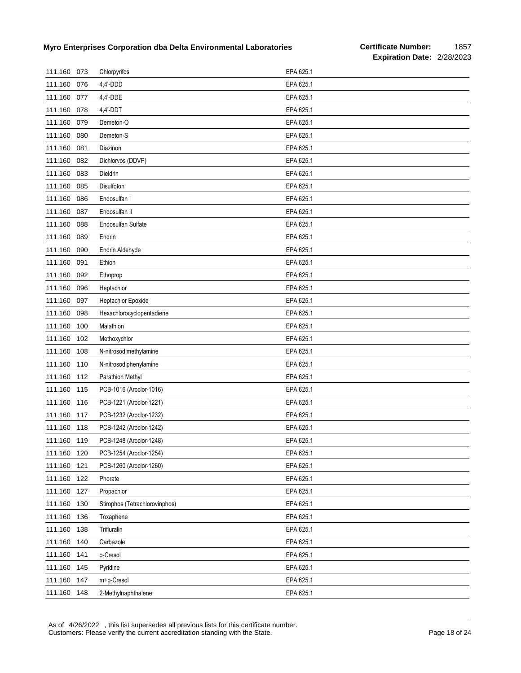| 111.160 073 |     | Chlorpyrifos                   | EPA 625.1 |
|-------------|-----|--------------------------------|-----------|
| 111.160     | 076 | 4,4'-DDD                       | EPA 625.1 |
| 111.160     | 077 | 4,4'-DDE                       | EPA 625.1 |
| 111.160     | 078 | 4,4'-DDT                       | EPA 625.1 |
| 111.160     | 079 | Demeton-O                      | EPA 625.1 |
| 111.160     | 080 | Demeton-S                      | EPA 625.1 |
| 111.160     | 081 | Diazinon                       | EPA 625.1 |
| 111.160     | 082 | Dichlorvos (DDVP)              | EPA 625.1 |
| 111.160     | 083 | Dieldrin                       | EPA 625.1 |
| 111.160     | 085 | Disulfoton                     | EPA 625.1 |
| 111.160     | 086 | Endosulfan I                   | EPA 625.1 |
| 111.160     | 087 | Endosulfan II                  | EPA 625.1 |
| 111.160     | 088 | Endosulfan Sulfate             | EPA 625.1 |
| 111.160     | 089 | Endrin                         | EPA 625.1 |
| 111.160     | 090 | Endrin Aldehyde                | EPA 625.1 |
| 111.160     | 091 | Ethion                         | EPA 625.1 |
| 111.160     | 092 | Ethoprop                       | EPA 625.1 |
| 111.160     | 096 | Heptachlor                     | EPA 625.1 |
| 111.160     | 097 | <b>Heptachlor Epoxide</b>      | EPA 625.1 |
| 111.160     | 098 | Hexachlorocyclopentadiene      | EPA 625.1 |
| 111.160     | 100 | Malathion                      | EPA 625.1 |
| 111.160     | 102 | Methoxychlor                   | EPA 625.1 |
| 111.160     | 108 | N-nitrosodimethylamine         | EPA 625.1 |
| 111.160     | 110 | N-nitrosodiphenylamine         | EPA 625.1 |
| 111.160     | 112 | Parathion Methyl               | EPA 625.1 |
| 111.160     | 115 | PCB-1016 (Aroclor-1016)        | EPA 625.1 |
| 111.160     | 116 | PCB-1221 (Aroclor-1221)        | EPA 625.1 |
| 111.160     | 117 | PCB-1232 (Aroclor-1232)        | EPA 625.1 |
| 111.160     | 118 | PCB-1242 (Aroclor-1242)        | EPA 625.1 |
| 111.160 119 |     | PCB-1248 (Aroclor-1248)        | EPA 625.1 |
| 111.160     | 120 | PCB-1254 (Aroclor-1254)        | EPA 625.1 |
| 111.160     | 121 | PCB-1260 (Aroclor-1260)        | EPA 625.1 |
| 111.160     | 122 | Phorate                        | EPA 625.1 |
| 111.160     | 127 | Propachlor                     | EPA 625.1 |
| 111.160     | 130 | Stirophos (Tetrachlorovinphos) | EPA 625.1 |
| 111.160     | 136 | Toxaphene                      | EPA 625.1 |
| 111.160     | 138 | Trifluralin                    | EPA 625.1 |
| 111.160     | 140 | Carbazole                      | EPA 625.1 |
| 111.160     | 141 | o-Cresol                       | EPA 625.1 |
| 111.160     | 145 | Pyridine                       | EPA 625.1 |
| 111.160     | 147 | m+p-Cresol                     | EPA 625.1 |
| 111.160     | 148 | 2-Methylnaphthalene            | EPA 625.1 |

As of 4/26/2022 , this list supersedes all previous lists for this certificate number. Customers: Please verify the current accreditation standing with the State. Customers: Please 18 of 24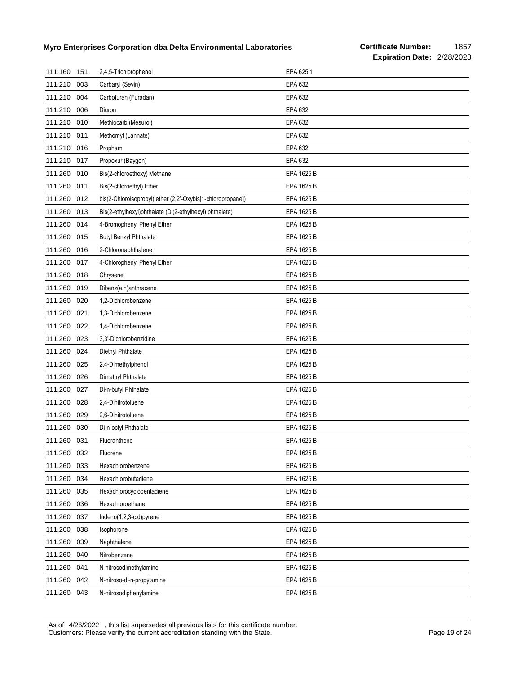| 111.160     | 151 | 2,4,5-Trichlorophenol                                       | EPA 625.1  |
|-------------|-----|-------------------------------------------------------------|------------|
| 111.210     | 003 | Carbaryl (Sevin)                                            | EPA 632    |
| 111.210     | 004 | Carbofuran (Furadan)                                        | EPA 632    |
| 111.210     | 006 | Diuron                                                      | EPA 632    |
| 111.210 010 |     | Methiocarb (Mesurol)                                        | EPA 632    |
| 111.210     | 011 | Methomyl (Lannate)                                          | EPA 632    |
| 111.210     | 016 | Propham                                                     | EPA 632    |
| 111.210     | 017 | Propoxur (Baygon)                                           | EPA 632    |
| 111.260     | 010 | Bis(2-chloroethoxy) Methane                                 | EPA 1625 B |
| 111.260     | 011 | Bis(2-chloroethyl) Ether                                    | EPA 1625 B |
| 111.260     | 012 | bis(2-Chloroisopropyl) ether (2,2'-Oxybis[1-chloropropane]) | EPA 1625 B |
| 111.260     | 013 | Bis(2-ethylhexyl)phthalate (Di(2-ethylhexyl) phthalate)     | EPA 1625 B |
| 111.260     | 014 | 4-Bromophenyl Phenyl Ether                                  | EPA 1625 B |
| 111.260     | 015 | <b>Butyl Benzyl Phthalate</b>                               | EPA 1625 B |
| 111.260     | 016 | 2-Chloronaphthalene                                         | EPA 1625 B |
| 111.260     | 017 | 4-Chlorophenyl Phenyl Ether                                 | EPA 1625 B |
| 111.260     | 018 | Chrysene                                                    | EPA 1625 B |
| 111.260     | 019 | Dibenz(a,h)anthracene                                       | EPA 1625 B |
| 111.260     | 020 | 1,2-Dichlorobenzene                                         | EPA 1625 B |
| 111.260     | 021 | 1,3-Dichlorobenzene                                         | EPA 1625 B |
| 111.260     | 022 | 1,4-Dichlorobenzene                                         | EPA 1625 B |
| 111.260     | 023 | 3,3'-Dichlorobenzidine                                      | EPA 1625 B |
| 111.260     | 024 | Diethyl Phthalate                                           | EPA 1625 B |
| 111.260     | 025 | 2,4-Dimethylphenol                                          | EPA 1625 B |
| 111.260     | 026 | Dimethyl Phthalate                                          | EPA 1625 B |
| 111.260     | 027 | Di-n-butyl Phthalate                                        | EPA 1625 B |
| 111.260     | 028 | 2,4-Dinitrotoluene                                          | EPA 1625 B |
| 111.260     | 029 | 2,6-Dinitrotoluene                                          | EPA 1625 B |
| 111.260     | 030 | Di-n-octyl Phthalate                                        | EPA 1625 B |
| 111.260     | 031 | Fluoranthene                                                | EPA 1625 B |
| 111.260 032 |     | Fluorene                                                    | EPA 1625 B |
| 111.260     | 033 | Hexachlorobenzene                                           | EPA 1625 B |
| 111.260     | 034 | Hexachlorobutadiene                                         | EPA 1625 B |
| 111.260     | 035 | Hexachlorocyclopentadiene                                   | EPA 1625 B |
| 111.260     | 036 | Hexachloroethane                                            | EPA 1625 B |
| 111.260     | 037 | Indeno(1,2,3-c,d)pyrene                                     | EPA 1625 B |
| 111.260     | 038 | Isophorone                                                  | EPA 1625 B |
| 111.260     | 039 | Naphthalene                                                 | EPA 1625 B |
| 111.260     | 040 | Nitrobenzene                                                | EPA 1625 B |
| 111.260     | 041 | N-nitrosodimethylamine                                      | EPA 1625 B |
| 111.260     | 042 | N-nitroso-di-n-propylamine                                  | EPA 1625 B |
| 111.260 043 |     | N-nitrosodiphenylamine                                      | EPA 1625 B |

As of 4/26/2022 , this list supersedes all previous lists for this certificate number. Customers: Please verify the current accreditation standing with the State. Customers: Please 19 of 24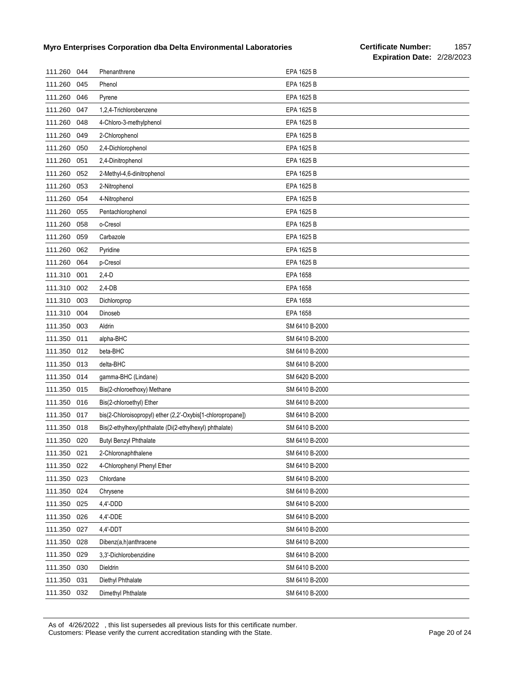| 111.260 | 044 | Phenanthrene                                                | EPA 1625 B     |
|---------|-----|-------------------------------------------------------------|----------------|
| 111.260 | 045 | Phenol                                                      | EPA 1625 B     |
| 111.260 | 046 | Pyrene                                                      | EPA 1625 B     |
| 111.260 | 047 | 1,2,4-Trichlorobenzene                                      | EPA 1625 B     |
| 111.260 | 048 | 4-Chloro-3-methylphenol                                     | EPA 1625 B     |
| 111.260 | 049 | 2-Chlorophenol                                              | EPA 1625 B     |
| 111.260 | 050 | 2,4-Dichlorophenol                                          | EPA 1625 B     |
| 111.260 | 051 | 2,4-Dinitrophenol                                           | EPA 1625 B     |
| 111.260 | 052 | 2-Methyl-4,6-dinitrophenol                                  | EPA 1625 B     |
| 111.260 | 053 | 2-Nitrophenol                                               | EPA 1625 B     |
| 111.260 | 054 | 4-Nitrophenol                                               | EPA 1625 B     |
| 111.260 | 055 | Pentachlorophenol                                           | EPA 1625 B     |
| 111.260 | 058 | o-Cresol                                                    | EPA 1625 B     |
| 111.260 | 059 | Carbazole                                                   | EPA 1625 B     |
| 111.260 | 062 | Pyridine                                                    | EPA 1625 B     |
| 111.260 | 064 | p-Cresol                                                    | EPA 1625 B     |
| 111.310 | 001 | $2,4-D$                                                     | EPA 1658       |
| 111.310 | 002 | $2,4-DB$                                                    | EPA 1658       |
| 111.310 | 003 | Dichloroprop                                                | EPA 1658       |
| 111.310 | 004 | Dinoseb                                                     | EPA 1658       |
| 111.350 | 003 | Aldrin                                                      | SM 6410 B-2000 |
| 111.350 | 011 | alpha-BHC                                                   | SM 6410 B-2000 |
| 111.350 | 012 | beta-BHC                                                    | SM 6410 B-2000 |
| 111.350 | 013 | delta-BHC                                                   | SM 6410 B-2000 |
| 111.350 | 014 | gamma-BHC (Lindane)                                         | SM 6420 B-2000 |
| 111.350 | 015 | Bis(2-chloroethoxy) Methane                                 | SM 6410 B-2000 |
| 111.350 | 016 | Bis(2-chloroethyl) Ether                                    | SM 6410 B-2000 |
| 111.350 | 017 | bis(2-Chloroisopropyl) ether (2,2'-Oxybis[1-chloropropane]) | SM 6410 B-2000 |
| 111.350 | 018 | Bis(2-ethylhexyl)phthalate (Di(2-ethylhexyl) phthalate)     | SM 6410 B-2000 |
| 111.350 | 020 | <b>Butyl Benzyl Phthalate</b>                               | SM 6410 B-2000 |
| 111.350 | 021 | 2-Chloronaphthalene                                         | SM 6410 B-2000 |
| 111.350 | 022 | 4-Chlorophenyl Phenyl Ether                                 | SM 6410 B-2000 |
| 111.350 | 023 | Chlordane                                                   | SM 6410 B-2000 |
| 111.350 | 024 | Chrysene                                                    | SM 6410 B-2000 |
| 111.350 | 025 | 4,4'-DDD                                                    | SM 6410 B-2000 |
| 111.350 | 026 | 4,4'-DDE                                                    | SM 6410 B-2000 |
| 111.350 | 027 | 4,4'-DDT                                                    | SM 6410 B-2000 |
| 111.350 | 028 | Dibenz(a,h)anthracene                                       | SM 6410 B-2000 |
| 111.350 | 029 | 3,3'-Dichlorobenzidine                                      | SM 6410 B-2000 |
| 111.350 | 030 | Dieldrin                                                    | SM 6410 B-2000 |
| 111.350 | 031 | Diethyl Phthalate                                           | SM 6410 B-2000 |
| 111.350 | 032 | Dimethyl Phthalate                                          | SM 6410 B-2000 |

As of 4/26/2022 , this list supersedes all previous lists for this certificate number. Customers: Please verify the current accreditation standing with the State. Customers: Please 20 of 24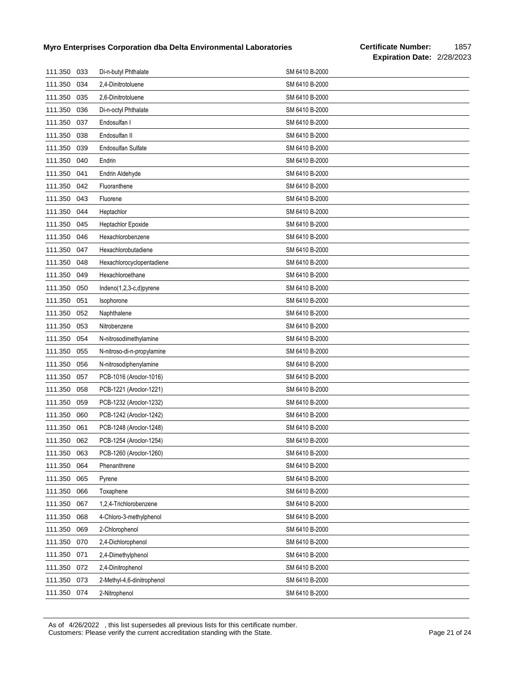| 111.350     | 033 | Di-n-butyl Phthalate       | SM 6410 B-2000 |
|-------------|-----|----------------------------|----------------|
| 111.350     | 034 | 2,4-Dinitrotoluene         | SM 6410 B-2000 |
| 111.350     | 035 | 2,6-Dinitrotoluene         | SM 6410 B-2000 |
| 111.350     | 036 | Di-n-octyl Phthalate       | SM 6410 B-2000 |
| 111.350     | 037 | Endosulfan I               | SM 6410 B-2000 |
| 111.350     | 038 | Endosulfan II              | SM 6410 B-2000 |
| 111.350     | 039 | <b>Endosulfan Sulfate</b>  | SM 6410 B-2000 |
| 111.350     | 040 | Endrin                     | SM 6410 B-2000 |
| 111.350     | 041 | Endrin Aldehyde            | SM 6410 B-2000 |
| 111.350     | 042 | Fluoranthene               | SM 6410 B-2000 |
| 111.350     | 043 | Fluorene                   | SM 6410 B-2000 |
| 111.350     | 044 | Heptachlor                 | SM 6410 B-2000 |
| 111.350     | 045 | Heptachlor Epoxide         | SM 6410 B-2000 |
| 111.350     | 046 | Hexachlorobenzene          | SM 6410 B-2000 |
| 111.350     | 047 | Hexachlorobutadiene        | SM 6410 B-2000 |
| 111.350     | 048 | Hexachlorocyclopentadiene  | SM 6410 B-2000 |
| 111.350     | 049 | Hexachloroethane           | SM 6410 B-2000 |
| 111.350     | 050 | $Indeno(1,2,3-c,d)pyrene$  | SM 6410 B-2000 |
| 111.350     | 051 | Isophorone                 | SM 6410 B-2000 |
| 111.350     | 052 | Naphthalene                | SM 6410 B-2000 |
| 111.350     | 053 | Nitrobenzene               | SM 6410 B-2000 |
| 111.350     | 054 | N-nitrosodimethylamine     | SM 6410 B-2000 |
| 111.350     | 055 | N-nitroso-di-n-propylamine | SM 6410 B-2000 |
| 111.350     | 056 | N-nitrosodiphenylamine     | SM 6410 B-2000 |
| 111.350     | 057 | PCB-1016 (Aroclor-1016)    | SM 6410 B-2000 |
| 111.350     | 058 | PCB-1221 (Aroclor-1221)    | SM 6410 B-2000 |
| 111.350     | 059 | PCB-1232 (Aroclor-1232)    | SM 6410 B-2000 |
| 111.350     | 060 | PCB-1242 (Aroclor-1242)    | SM 6410 B-2000 |
| 111.350     | 061 | PCB-1248 (Aroclor-1248)    | SM 6410 B-2000 |
| 111.350 062 |     | PCB-1254 (Aroclor-1254)    | SM 6410 B-2000 |
| 111.350     | 063 | PCB-1260 (Aroclor-1260)    | SM 6410 B-2000 |
| 111.350     | 064 | Phenanthrene               | SM 6410 B-2000 |
| 111.350     | 065 | Pyrene                     | SM 6410 B-2000 |
| 111.350     | 066 | Toxaphene                  | SM 6410 B-2000 |
| 111.350     | 067 | 1,2,4-Trichlorobenzene     | SM 6410 B-2000 |
| 111.350     | 068 | 4-Chloro-3-methylphenol    | SM 6410 B-2000 |
| 111.350     | 069 | 2-Chlorophenol             | SM 6410 B-2000 |
| 111.350     | 070 | 2,4-Dichlorophenol         | SM 6410 B-2000 |
| 111.350     | 071 | 2,4-Dimethylphenol         | SM 6410 B-2000 |
| 111.350     | 072 | 2,4-Dinitrophenol          | SM 6410 B-2000 |
| 111.350     | 073 | 2-Methyl-4,6-dinitrophenol | SM 6410 B-2000 |
| 111.350 074 |     | 2-Nitrophenol              | SM 6410 B-2000 |

As of 4/26/2022 , this list supersedes all previous lists for this certificate number. Customers: Please verify the current accreditation standing with the State. Customers: Please 21 of 24 of 24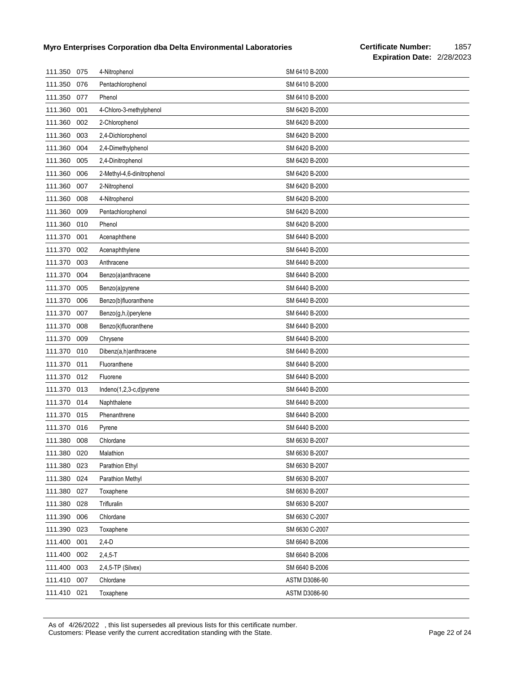| 111.350     | 075 | 4-Nitrophenol              | SM 6410 B-2000 |
|-------------|-----|----------------------------|----------------|
| 111.350     | 076 | Pentachlorophenol          | SM 6410 B-2000 |
| 111.350     | 077 | Phenol                     | SM 6410 B-2000 |
| 111.360     | 001 | 4-Chloro-3-methylphenol    | SM 6420 B-2000 |
| 111.360     | 002 | 2-Chlorophenol             | SM 6420 B-2000 |
| 111.360     | 003 | 2,4-Dichlorophenol         | SM 6420 B-2000 |
| 111.360     | 004 | 2,4-Dimethylphenol         | SM 6420 B-2000 |
| 111.360     | 005 | 2,4-Dinitrophenol          | SM 6420 B-2000 |
| 111.360     | 006 | 2-Methyl-4,6-dinitrophenol | SM 6420 B-2000 |
| 111.360     | 007 | 2-Nitrophenol              | SM 6420 B-2000 |
| 111.360     | 008 | 4-Nitrophenol              | SM 6420 B-2000 |
| 111.360     | 009 | Pentachlorophenol          | SM 6420 B-2000 |
| 111.360     | 010 | Phenol                     | SM 6420 B-2000 |
| 111.370     | 001 | Acenaphthene               | SM 6440 B-2000 |
| 111.370     | 002 | Acenaphthylene             | SM 6440 B-2000 |
| 111.370     | 003 | Anthracene                 | SM 6440 B-2000 |
| 111.370     | 004 | Benzo(a)anthracene         | SM 6440 B-2000 |
| 111.370     | 005 | Benzo(a)pyrene             | SM 6440 B-2000 |
| 111.370     | 006 | Benzo(b)fluoranthene       | SM 6440 B-2000 |
| 111.370     | 007 | Benzo(g,h,i)perylene       | SM 6440 B-2000 |
| 111.370     | 008 | Benzo(k)fluoranthene       | SM 6440 B-2000 |
| 111.370     | 009 | Chrysene                   | SM 6440 B-2000 |
| 111.370     | 010 | Dibenz(a,h)anthracene      | SM 6440 B-2000 |
| 111.370     | 011 | Fluoranthene               | SM 6440 B-2000 |
| 111.370     | 012 | Fluorene                   | SM 6440 B-2000 |
| 111.370     | 013 | Indeno(1,2,3-c,d)pyrene    | SM 6440 B-2000 |
| 111.370     | 014 | Naphthalene                | SM 6440 B-2000 |
| 111.370     | 015 | Phenanthrene               | SM 6440 B-2000 |
| 111.370     | 016 | Pyrene                     | SM 6440 B-2000 |
| 111.380     | 008 | Chlordane                  | SM 6630 B-2007 |
| 111.380     | 020 | Malathion                  | SM 6630 B-2007 |
| 111.380     | 023 | Parathion Ethyl            | SM 6630 B-2007 |
| 111.380     | 024 | Parathion Methyl           | SM 6630 B-2007 |
| 111.380     | 027 | Toxaphene                  | SM 6630 B-2007 |
| 111.380     | 028 | Trifluralin                | SM 6630 B-2007 |
| 111.390     | 006 | Chlordane                  | SM 6630 C-2007 |
| 111.390     | 023 | Toxaphene                  | SM 6630 C-2007 |
| 111.400     | 001 | $2,4-D$                    | SM 6640 B-2006 |
| 111.400     | 002 | $2,4,5-T$                  | SM 6640 B-2006 |
| 111.400     | 003 | 2,4,5-TP (Silvex)          | SM 6640 B-2006 |
| 111.410     | 007 | Chlordane                  | ASTM D3086-90  |
| 111.410 021 |     | Toxaphene                  | ASTM D3086-90  |

As of 4/26/2022 , this list supersedes all previous lists for this certificate number. Customers: Please verify the current accreditation standing with the State. Customers: Please 22 of 24 of 24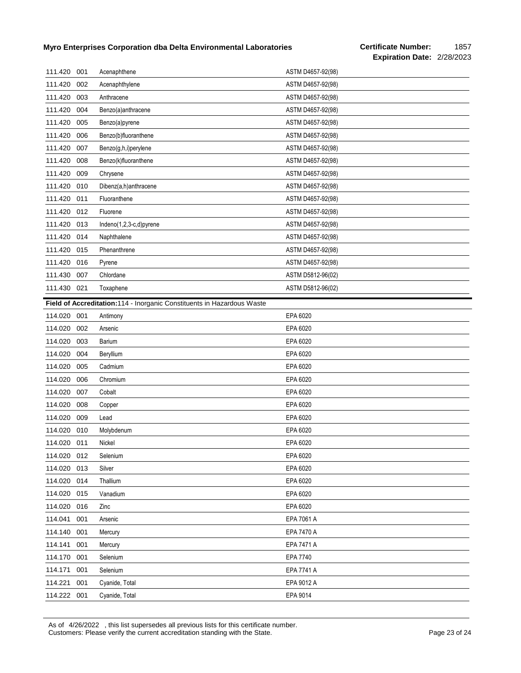| 111.420     | 001 | Acenaphthene                                                            | ASTM D4657-92(98) |
|-------------|-----|-------------------------------------------------------------------------|-------------------|
| 111.420     | 002 | Acenaphthylene                                                          | ASTM D4657-92(98) |
| 111.420     | 003 | Anthracene                                                              | ASTM D4657-92(98) |
| 111.420     | 004 | Benzo(a)anthracene                                                      | ASTM D4657-92(98) |
| 111.420     | 005 | Benzo(a)pyrene                                                          | ASTM D4657-92(98) |
| 111.420     | 006 | Benzo(b)fluoranthene                                                    | ASTM D4657-92(98) |
| 111.420     | 007 | Benzo(g,h,i)perylene                                                    | ASTM D4657-92(98) |
| 111.420     | 008 | Benzo(k)fluoranthene                                                    | ASTM D4657-92(98) |
| 111.420     | 009 | Chrysene                                                                | ASTM D4657-92(98) |
| 111.420     | 010 | Dibenz(a,h)anthracene                                                   | ASTM D4657-92(98) |
| 111.420     | 011 | Fluoranthene                                                            | ASTM D4657-92(98) |
| 111.420     | 012 | Fluorene                                                                | ASTM D4657-92(98) |
| 111.420     | 013 | Indeno(1,2,3-c,d)pyrene                                                 | ASTM D4657-92(98) |
| 111.420     | 014 | Naphthalene                                                             | ASTM D4657-92(98) |
| 111.420     | 015 | Phenanthrene                                                            | ASTM D4657-92(98) |
| 111.420     | 016 | Pyrene                                                                  | ASTM D4657-92(98) |
| 111.430     | 007 | Chlordane                                                               | ASTM D5812-96(02) |
| 111.430 021 |     | Toxaphene                                                               | ASTM D5812-96(02) |
|             |     | Field of Accreditation: 114 - Inorganic Constituents in Hazardous Waste |                   |
| 114.020     | 001 | Antimony                                                                | EPA 6020          |
| 114.020     | 002 | Arsenic                                                                 | EPA 6020          |
| 114.020     |     |                                                                         |                   |
|             | 003 | Barium                                                                  | EPA 6020          |
| 114.020     | 004 | Beryllium                                                               | EPA 6020          |
| 114.020     | 005 | Cadmium                                                                 | EPA 6020          |
| 114.020     | 006 | Chromium                                                                | EPA 6020          |
| 114.020     | 007 | Cobalt                                                                  | EPA 6020          |
| 114.020     | 008 | Copper                                                                  | EPA 6020          |
| 114.020     | 009 | Lead                                                                    | EPA 6020          |
| 114.020     | 010 | Molybdenum                                                              | EPA 6020          |
| 114.020 011 |     | Nickel                                                                  | EPA 6020          |
| 114.020 012 |     | Selenium                                                                | EPA 6020          |
| 114.020     | 013 | Silver                                                                  | EPA 6020          |
| 114.020     | 014 | Thallium                                                                | EPA 6020          |
| 114.020     | 015 | Vanadium                                                                | EPA 6020          |
| 114.020     | 016 | Zinc                                                                    | EPA 6020          |
| 114.041     | 001 | Arsenic                                                                 | EPA 7061 A        |
| 114.140     | 001 | Mercury                                                                 | EPA 7470 A        |
| 114.141     | 001 | Mercury                                                                 | EPA 7471 A        |
| 114.170     | 001 | Selenium                                                                | EPA 7740          |
| 114.171     | 001 | Selenium                                                                | EPA 7741 A        |
| 114.221     | 001 | Cyanide, Total                                                          | EPA 9012 A        |

As of 4/26/2022 , this list supersedes all previous lists for this certificate number. Customers: Please verify the current accreditation standing with the State. Customers: Please 23 of 24